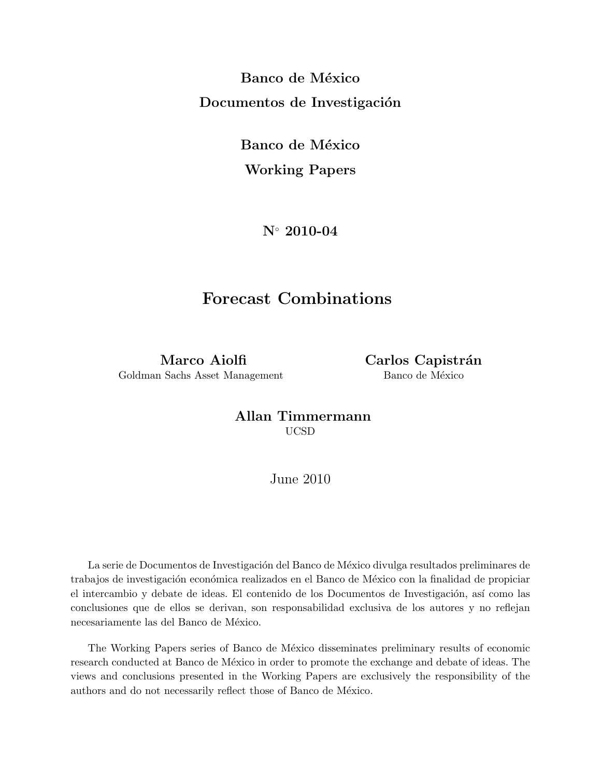Banco de México Documentos de Investigación

> Banco de México Working Papers

> > N◦ 2010-04

# Forecast Combinations

Goldman Sachs Asset Management Banco de México

Marco Aiolfi Carlos Capistrán

Allan Timmermann UCSD

June 2010

La serie de Documentos de Investigación del Banco de México divulga resultados preliminares de trabajos de investigación económica realizados en el Banco de México con la finalidad de propiciar el intercambio y debate de ideas. El contenido de los Documentos de Investigación, así como las conclusiones que de ellos se derivan, son responsabilidad exclusiva de los autores y no reflejan necesariamente las del Banco de México.

The Working Papers series of Banco de México disseminates preliminary results of economic research conducted at Banco de México in order to promote the exchange and debate of ideas. The views and conclusions presented in the Working Papers are exclusively the responsibility of the authors and do not necessarily reflect those of Banco de México.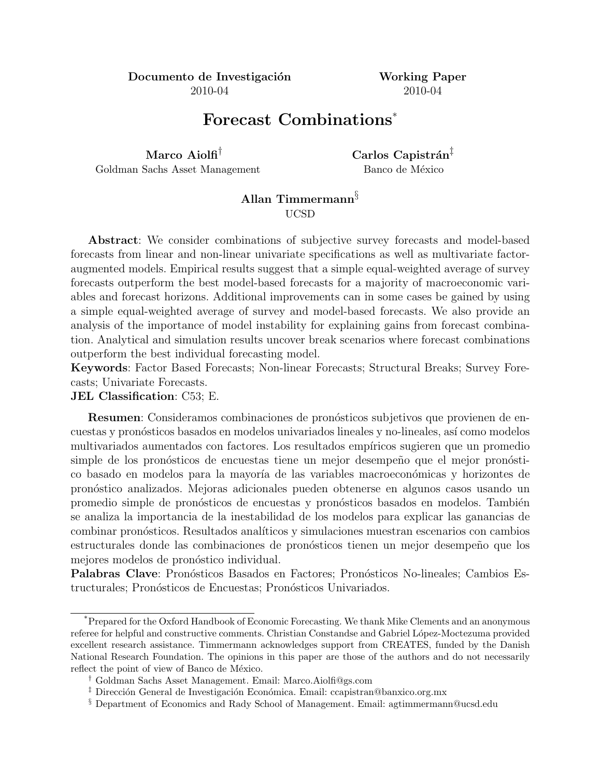Documento de Investigación Working Paper 2010-04 2010-04

# Forecast Combinations\*

Marco Aiolfi<sup>†</sup> Carlos Capistrán<sup>‡</sup> Goldman Sachs Asset Management Banco de México

### Allan Timmermann§ UCSD

Abstract: We consider combinations of subjective survey forecasts and model-based forecasts from linear and non-linear univariate specifications as well as multivariate factoraugmented models. Empirical results suggest that a simple equal-weighted average of survey forecasts outperform the best model-based forecasts for a majority of macroeconomic variables and forecast horizons. Additional improvements can in some cases be gained by using a simple equal-weighted average of survey and model-based forecasts. We also provide an analysis of the importance of model instability for explaining gains from forecast combination. Analytical and simulation results uncover break scenarios where forecast combinations outperform the best individual forecasting model.

Keywords: Factor Based Forecasts; Non-linear Forecasts; Structural Breaks; Survey Forecasts; Univariate Forecasts.

JEL Classification: C53; E.

**Resumen**: Consideramos combinaciones de pronósticos subjetivos que provienen de encuestas y pronósticos basados en modelos univariados lineales y no-lineales, así como modelos multivariados aumentados con factores. Los resultados emp´ıricos sugieren que un promedio simple de los pronósticos de encuestas tiene un mejor desempeño que el mejor pronóstico basado en modelos para la mayoría de las variables macroeconómicas y horizontes de pron´ostico analizados. Mejoras adicionales pueden obtenerse en algunos casos usando un promedio simple de pronósticos de encuestas y pronósticos basados en modelos. También se analiza la importancia de la inestabilidad de los modelos para explicar las ganancias de combinar pronósticos. Resultados analíticos y simulaciones muestran escenarios con cambios estructurales donde las combinaciones de pronósticos tienen un mejor desempeño que los mejores modelos de pronóstico individual.

Palabras Clave: Pronósticos Basados en Factores; Pronósticos No-lineales; Cambios Estructurales; Pronósticos de Encuestas; Pronósticos Univariados.

<sup>\*</sup>Prepared for the Oxford Handbook of Economic Forecasting. We thank Mike Clements and an anonymous referee for helpful and constructive comments. Christian Constandse and Gabriel López-Moctezuma provided excellent research assistance. Timmermann acknowledges support from CREATES, funded by the Danish National Research Foundation. The opinions in this paper are those of the authors and do not necessarily reflect the point of view of Banco de México.

<sup>†</sup> Goldman Sachs Asset Management. Email: Marco.Aiolfi@gs.com

<sup>&</sup>lt;sup> $\ddagger$ </sup> Dirección General de Investigación Económica. Email: ccapistran@banxico.org.mx

<sup>§</sup> Department of Economics and Rady School of Management. Email: agtimmermann@ucsd.edu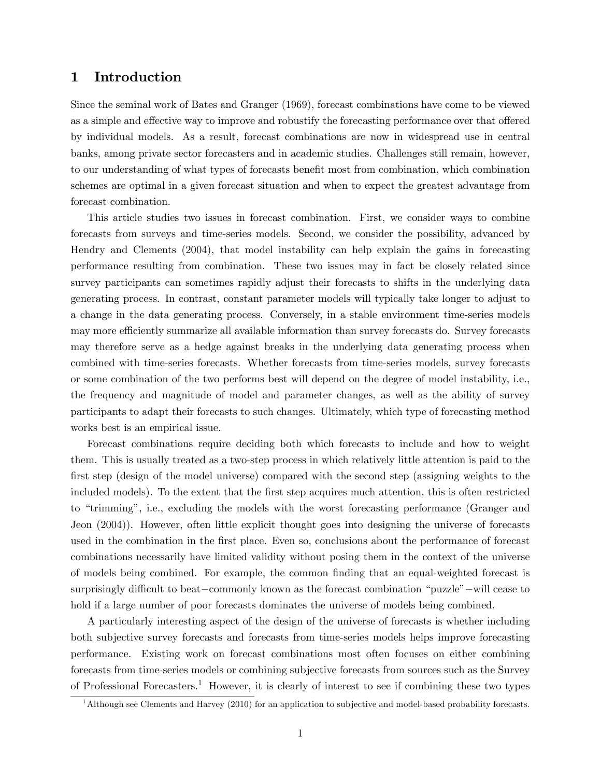### 1 Introduction

Since the seminal work of Bates and Granger (1969), forecast combinations have come to be viewed as a simple and effective way to improve and robustify the forecasting performance over that offered by individual models. As a result, forecast combinations are now in widespread use in central banks, among private sector forecasters and in academic studies. Challenges still remain, however, to our understanding of what types of forecasts benefit most from combination, which combination schemes are optimal in a given forecast situation and when to expect the greatest advantage from forecast combination.

This article studies two issues in forecast combination. First, we consider ways to combine forecasts from surveys and time-series models. Second, we consider the possibility, advanced by Hendry and Clements (2004), that model instability can help explain the gains in forecasting performance resulting from combination. These two issues may in fact be closely related since survey participants can sometimes rapidly adjust their forecasts to shifts in the underlying data generating process. In contrast, constant parameter models will typically take longer to adjust to a change in the data generating process. Conversely, in a stable environment time-series models may more efficiently summarize all available information than survey forecasts do. Survey forecasts may therefore serve as a hedge against breaks in the underlying data generating process when combined with time-series forecasts. Whether forecasts from time-series models, survey forecasts or some combination of the two performs best will depend on the degree of model instability, i.e., the frequency and magnitude of model and parameter changes, as well as the ability of survey participants to adapt their forecasts to such changes. Ultimately, which type of forecasting method works best is an empirical issue.

Forecast combinations require deciding both which forecasts to include and how to weight them. This is usually treated as a two-step process in which relatively little attention is paid to the first step (design of the model universe) compared with the second step (assigning weights to the included models). To the extent that the Örst step acquires much attention, this is often restricted to "trimming", i.e., excluding the models with the worst forecasting performance (Granger and Jeon (2004)). However, often little explicit thought goes into designing the universe of forecasts used in the combination in the first place. Even so, conclusions about the performance of forecast combinations necessarily have limited validity without posing them in the context of the universe of models being combined. For example, the common Önding that an equal-weighted forecast is surprisingly difficult to beat-commonly known as the forecast combination "puzzle"-will cease to hold if a large number of poor forecasts dominates the universe of models being combined.

A particularly interesting aspect of the design of the universe of forecasts is whether including both subjective survey forecasts and forecasts from time-series models helps improve forecasting performance. Existing work on forecast combinations most often focuses on either combining forecasts from time-series models or combining subjective forecasts from sources such as the Survey of Professional Forecasters.<sup>1</sup> However, it is clearly of interest to see if combining these two types

<sup>&</sup>lt;sup>1</sup>Although see Clements and Harvey (2010) for an application to subjective and model-based probability forecasts.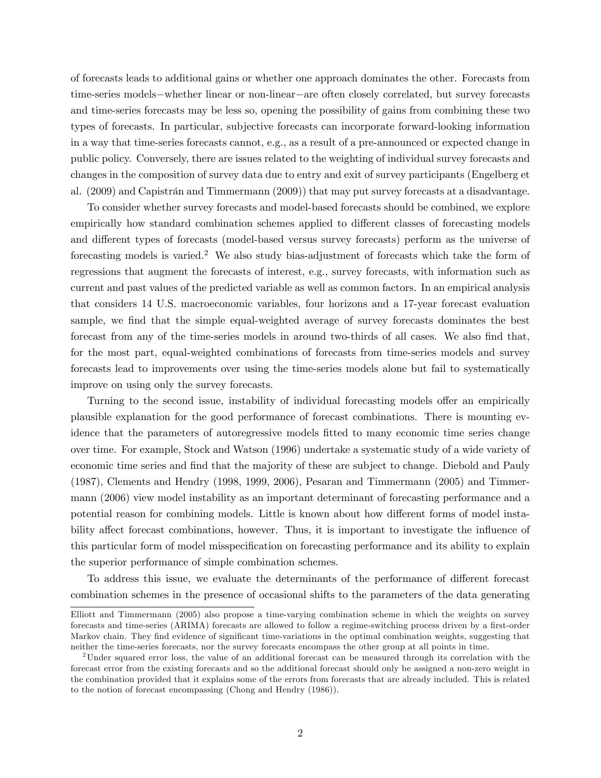of forecasts leads to additional gains or whether one approach dominates the other. Forecasts from time-series models—whether linear or non-linear—are often closely correlated, but survey forecasts and time-series forecasts may be less so, opening the possibility of gains from combining these two types of forecasts. In particular, subjective forecasts can incorporate forward-looking information in a way that time-series forecasts cannot, e.g., as a result of a pre-announced or expected change in public policy. Conversely, there are issues related to the weighting of individual survey forecasts and changes in the composition of survey data due to entry and exit of survey participants (Engelberg et al.  $(2009)$  and Capistrán and Timmermann  $(2009)$  that may put survey forecasts at a disadvantage.

To consider whether survey forecasts and model-based forecasts should be combined, we explore empirically how standard combination schemes applied to different classes of forecasting models and different types of forecasts (model-based versus survey forecasts) perform as the universe of forecasting models is varied.<sup>2</sup> We also study bias-adjustment of forecasts which take the form of regressions that augment the forecasts of interest, e.g., survey forecasts, with information such as current and past values of the predicted variable as well as common factors. In an empirical analysis that considers 14 U.S. macroeconomic variables, four horizons and a 17-year forecast evaluation sample, we find that the simple equal-weighted average of survey forecasts dominates the best forecast from any of the time-series models in around two-thirds of all cases. We also find that, for the most part, equal-weighted combinations of forecasts from time-series models and survey forecasts lead to improvements over using the time-series models alone but fail to systematically improve on using only the survey forecasts.

Turning to the second issue, instability of individual forecasting models offer an empirically plausible explanation for the good performance of forecast combinations. There is mounting evidence that the parameters of autoregressive models fitted to many economic time series change over time. For example, Stock and Watson (1996) undertake a systematic study of a wide variety of economic time series and find that the majority of these are subject to change. Diebold and Pauly (1987), Clements and Hendry (1998, 1999, 2006), Pesaran and Timmermann (2005) and Timmermann (2006) view model instability as an important determinant of forecasting performance and a potential reason for combining models. Little is known about how different forms of model instability affect forecast combinations, however. Thus, it is important to investigate the influence of this particular form of model misspecification on forecasting performance and its ability to explain the superior performance of simple combination schemes.

To address this issue, we evaluate the determinants of the performance of different forecast combination schemes in the presence of occasional shifts to the parameters of the data generating

Elliott and Timmermann (2005) also propose a time-varying combination scheme in which the weights on survey forecasts and time-series (ARIMA) forecasts are allowed to follow a regime-switching process driven by a first-order Markov chain. They find evidence of significant time-variations in the optimal combination weights, suggesting that neither the time-series forecasts, nor the survey forecasts encompass the other group at all points in time.

<sup>2</sup>Under squared error loss, the value of an additional forecast can be measured through its correlation with the forecast error from the existing forecasts and so the additional forecast should only be assigned a non-zero weight in the combination provided that it explains some of the errors from forecasts that are already included. This is related to the notion of forecast encompassing (Chong and Hendry (1986)).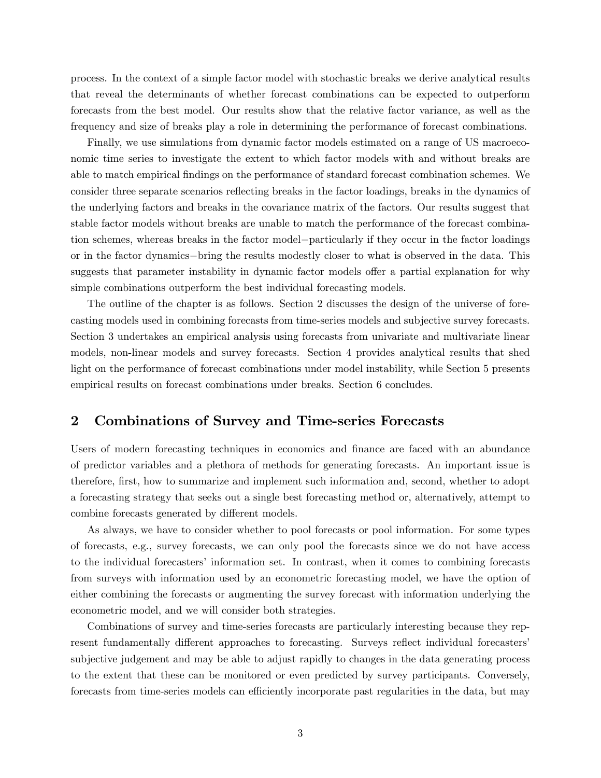process. In the context of a simple factor model with stochastic breaks we derive analytical results that reveal the determinants of whether forecast combinations can be expected to outperform forecasts from the best model. Our results show that the relative factor variance, as well as the frequency and size of breaks play a role in determining the performance of forecast combinations.

Finally, we use simulations from dynamic factor models estimated on a range of US macroeconomic time series to investigate the extent to which factor models with and without breaks are able to match empirical findings on the performance of standard forecast combination schemes. We consider three separate scenarios reflecting breaks in the factor loadings, breaks in the dynamics of the underlying factors and breaks in the covariance matrix of the factors. Our results suggest that stable factor models without breaks are unable to match the performance of the forecast combination schemes, whereas breaks in the factor model-particularly if they occur in the factor loadings or in the factor dynamics-bring the results modestly closer to what is observed in the data. This suggests that parameter instability in dynamic factor models offer a partial explanation for why simple combinations outperform the best individual forecasting models.

The outline of the chapter is as follows. Section 2 discusses the design of the universe of forecasting models used in combining forecasts from time-series models and subjective survey forecasts. Section 3 undertakes an empirical analysis using forecasts from univariate and multivariate linear models, non-linear models and survey forecasts. Section 4 provides analytical results that shed light on the performance of forecast combinations under model instability, while Section 5 presents empirical results on forecast combinations under breaks. Section 6 concludes.

## 2 Combinations of Survey and Time-series Forecasts

Users of modern forecasting techniques in economics and finance are faced with an abundance of predictor variables and a plethora of methods for generating forecasts. An important issue is therefore, first, how to summarize and implement such information and, second, whether to adopt a forecasting strategy that seeks out a single best forecasting method or, alternatively, attempt to combine forecasts generated by different models.

As always, we have to consider whether to pool forecasts or pool information. For some types of forecasts, e.g., survey forecasts, we can only pool the forecasts since we do not have access to the individual forecasters' information set. In contrast, when it comes to combining forecasts from surveys with information used by an econometric forecasting model, we have the option of either combining the forecasts or augmenting the survey forecast with information underlying the econometric model, and we will consider both strategies.

Combinations of survey and time-series forecasts are particularly interesting because they represent fundamentally different approaches to forecasting. Surveys reflect individual forecasters' subjective judgement and may be able to adjust rapidly to changes in the data generating process to the extent that these can be monitored or even predicted by survey participants. Conversely, forecasts from time-series models can efficiently incorporate past regularities in the data, but may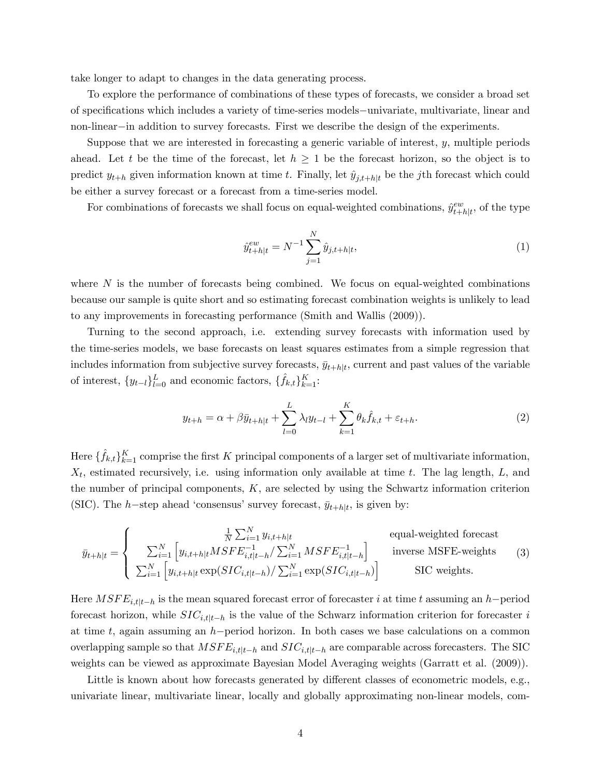take longer to adapt to changes in the data generating process.

To explore the performance of combinations of these types of forecasts, we consider a broad set of specifications which includes a variety of time-series models-univariate, multivariate, linear and non-linear—in addition to survey forecasts. First we describe the design of the experiments.

Suppose that we are interested in forecasting a generic variable of interest, y, multiple periods ahead. Let t be the time of the forecast, let  $h \geq 1$  be the forecast horizon, so the object is to predict  $y_{t+h}$  given information known at time t. Finally, let  $\hat{y}_{j,t+h|t}$  be the jth forecast which could be either a survey forecast or a forecast from a time-series model.

For combinations of forecasts we shall focus on equal-weighted combinations,  $\hat{y}_{t+h|t}^{ew}$ , of the type

$$
\hat{y}_{t+h|t}^{ew} = N^{-1} \sum_{j=1}^{N} \hat{y}_{j,t+h|t},\tag{1}
$$

where  $N$  is the number of forecasts being combined. We focus on equal-weighted combinations because our sample is quite short and so estimating forecast combination weights is unlikely to lead to any improvements in forecasting performance (Smith and Wallis (2009)).

Turning to the second approach, i.e. extending survey forecasts with information used by the time-series models, we base forecasts on least squares estimates from a simple regression that includes information from subjective survey forecasts,  $\bar{y}_{t+h|t}$ , current and past values of the variable of interest,  $\{y_{t-l}\}_{l=0}^L$  and economic factors,  $\{\hat{f}_{k,t}\}_{k=1}^K$ :

$$
y_{t+h} = \alpha + \beta \bar{y}_{t+h|t} + \sum_{l=0}^{L} \lambda_l y_{t-l} + \sum_{k=1}^{K} \theta_k \hat{f}_{k,t} + \varepsilon_{t+h}.
$$
 (2)

Here  $\{\hat{f}_{k,t}\}_{k=1}^K$  comprise the first K principal components of a larger set of multivariate information,  $X_t$ , estimated recursively, i.e. using information only available at time t. The lag length,  $L$ , and the number of principal components,  $K$ , are selected by using the Schwartz information criterion (SIC). The h-step ahead 'consensus' survey forecast,  $\bar{y}_{t+h|t}$ , is given by:

$$
\bar{y}_{t+h|t} = \begin{cases}\n\frac{1}{N} \sum_{i=1}^{N} y_{i,t+h|t} & \text{equal-weighted forecast} \\
\sum_{i=1}^{N} \left[ y_{i,t+h|t} MSE_{i,t|t-h}^{-1} / \sum_{i=1}^{N} MSE_{i,t|t-h}^{-1} \right] & \text{inverse MSFE-weights} \\
\sum_{i=1}^{N} \left[ y_{i,t+h|t} \exp(SIC_{i,t|t-h}) / \sum_{i=1}^{N} \exp(SIC_{i,t|t-h}) \right] & \text{SIC weights.}\n\end{cases}\n\tag{3}
$$

Here  $MSFE_{i,t|t-h}$  is the mean squared forecast error of forecaster i at time t assuming an h-period forecast horizon, while  $SIC_{i,tlt-h}$  is the value of the Schwarz information criterion for forecaster i at time t, again assuming an  $h$ -period horizon. In both cases we base calculations on a common overlapping sample so that  $MSFE_{i,t|t-h}$  and  $SIC_{i,t|t-h}$  are comparable across forecasters. The SIC weights can be viewed as approximate Bayesian Model Averaging weights (Garratt et al. (2009)).

Little is known about how forecasts generated by different classes of econometric models, e.g., univariate linear, multivariate linear, locally and globally approximating non-linear models, com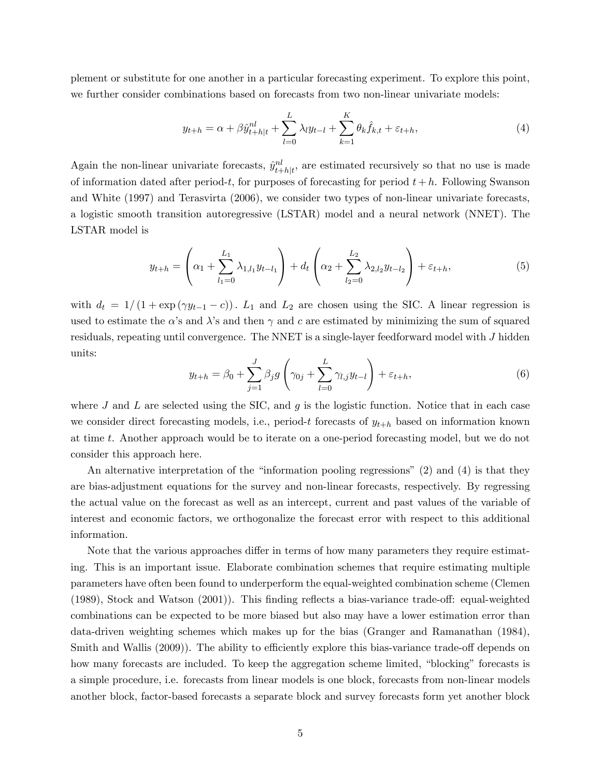plement or substitute for one another in a particular forecasting experiment. To explore this point, we further consider combinations based on forecasts from two non-linear univariate models:

$$
y_{t+h} = \alpha + \beta \hat{y}_{t+h|t}^{nl} + \sum_{l=0}^{L} \lambda_l y_{t-l} + \sum_{k=1}^{K} \theta_k \hat{f}_{k,t} + \varepsilon_{t+h},
$$
\n(4)

Again the non-linear univariate forecasts,  $\hat{y}_{t+h|t}^{nl}$ , are estimated recursively so that no use is made of information dated after period-t, for purposes of forecasting for period  $t + h$ . Following Swanson and White (1997) and Terasvirta (2006), we consider two types of non-linear univariate forecasts, a logistic smooth transition autoregressive (LSTAR) model and a neural network (NNET). The LSTAR model is

$$
y_{t+h} = \left(\alpha_1 + \sum_{l_1=0}^{L_1} \lambda_{1,l_1} y_{t-l_1}\right) + d_t \left(\alpha_2 + \sum_{l_2=0}^{L_2} \lambda_{2,l_2} y_{t-l_2}\right) + \varepsilon_{t+h},\tag{5}
$$

with  $d_t = 1/(1 + \exp(\gamma y_{t-1} - c))$ .  $L_1$  and  $L_2$  are chosen using the SIC. A linear regression is used to estimate the  $\alpha$ 's and  $\lambda$ 's and then  $\gamma$  and c are estimated by minimizing the sum of squared residuals, repeating until convergence. The NNET is a single-layer feedforward model with J hidden units:

$$
y_{t+h} = \beta_0 + \sum_{j=1}^{J} \beta_j g\left(\gamma_{0j} + \sum_{l=0}^{L} \gamma_{l,j} y_{t-l}\right) + \varepsilon_{t+h},\tag{6}
$$

where J and L are selected using the SIC, and  $q$  is the logistic function. Notice that in each case we consider direct forecasting models, i.e., period-t forecasts of  $y_{t+h}$  based on information known at time t. Another approach would be to iterate on a one-period forecasting model, but we do not consider this approach here.

An alternative interpretation of the "information pooling regressions"  $(2)$  and  $(4)$  is that they are bias-adjustment equations for the survey and non-linear forecasts, respectively. By regressing the actual value on the forecast as well as an intercept, current and past values of the variable of interest and economic factors, we orthogonalize the forecast error with respect to this additional information.

Note that the various approaches differ in terms of how many parameters they require estimating. This is an important issue. Elaborate combination schemes that require estimating multiple parameters have often been found to underperform the equal-weighted combination scheme (Clemen  $(1989)$ , Stock and Watson  $(2001)$ ). This finding reflects a bias-variance trade-off: equal-weighted combinations can be expected to be more biased but also may have a lower estimation error than data-driven weighting schemes which makes up for the bias (Granger and Ramanathan (1984), Smith and Wallis (2009)). The ability to efficiently explore this bias-variance trade-off depends on how many forecasts are included. To keep the aggregation scheme limited, "blocking" forecasts is a simple procedure, i.e. forecasts from linear models is one block, forecasts from non-linear models another block, factor-based forecasts a separate block and survey forecasts form yet another block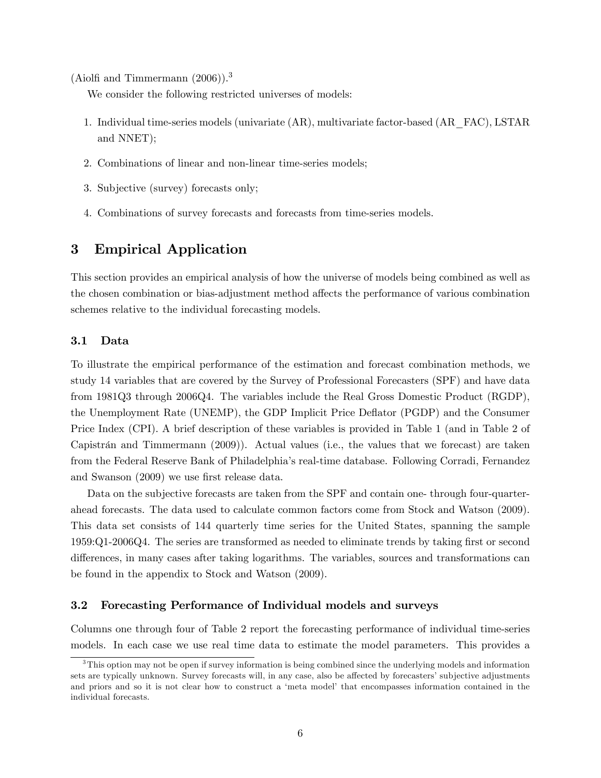(Aiolfi and Timmermann  $(2006)$ ).<sup>3</sup>

We consider the following restricted universes of models:

- 1. Individual time-series models (univariate (AR), multivariate factor-based (AR\_FAC), LSTAR and NNET);
- 2. Combinations of linear and non-linear time-series models;
- 3. Subjective (survey) forecasts only;
- 4. Combinations of survey forecasts and forecasts from time-series models.

### 3 Empirical Application

This section provides an empirical analysis of how the universe of models being combined as well as the chosen combination or bias-adjustment method affects the performance of various combination schemes relative to the individual forecasting models.

### 3.1 Data

To illustrate the empirical performance of the estimation and forecast combination methods, we study 14 variables that are covered by the Survey of Professional Forecasters (SPF) and have data from 1981Q3 through 2006Q4. The variables include the Real Gross Domestic Product (RGDP), the Unemployment Rate (UNEMP), the GDP Implicit Price Deáator (PGDP) and the Consumer Price Index (CPI). A brief description of these variables is provided in Table 1 (and in Table 2 of Capistrán and Timmermann  $(2009)$ ). Actual values (i.e., the values that we forecast) are taken from the Federal Reserve Bank of Philadelphiaís real-time database. Following Corradi, Fernandez and Swanson (2009) we use first release data.

Data on the subjective forecasts are taken from the SPF and contain one- through four-quarterahead forecasts. The data used to calculate common factors come from Stock and Watson (2009). This data set consists of 144 quarterly time series for the United States, spanning the sample 1959:Q1-2006Q4. The series are transformed as needed to eliminate trends by taking Örst or second differences, in many cases after taking logarithms. The variables, sources and transformations can be found in the appendix to Stock and Watson (2009).

#### 3.2 Forecasting Performance of Individual models and surveys

Columns one through four of Table 2 report the forecasting performance of individual time-series models. In each case we use real time data to estimate the model parameters. This provides a

<sup>3</sup>This option may not be open if survey information is being combined since the underlying models and information sets are typically unknown. Survey forecasts will, in any case, also be affected by forecasters' subjective adjustments and priors and so it is not clear how to construct a 'meta model' that encompasses information contained in the individual forecasts.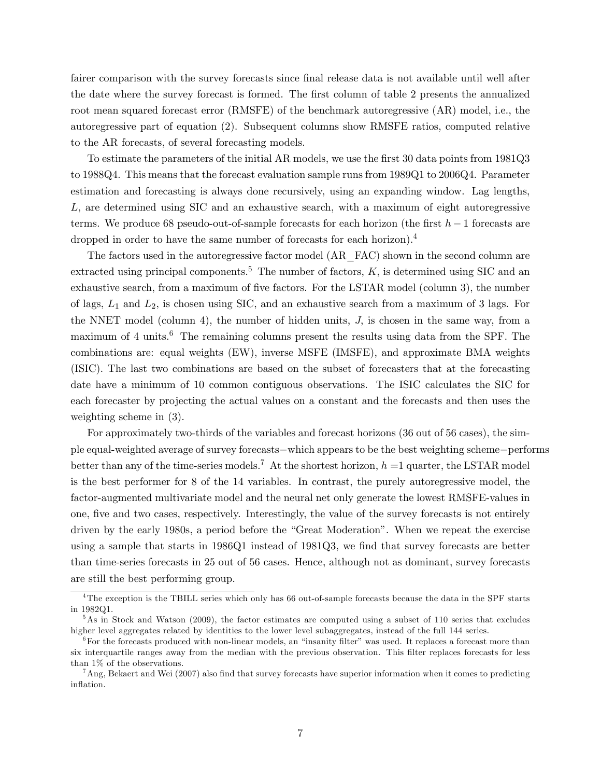fairer comparison with the survey forecasts since final release data is not available until well after the date where the survey forecast is formed. The first column of table 2 presents the annualized root mean squared forecast error (RMSFE) of the benchmark autoregressive (AR) model, i.e., the autoregressive part of equation (2). Subsequent columns show RMSFE ratios, computed relative to the AR forecasts, of several forecasting models.

To estimate the parameters of the initial AR models, we use the first 30 data points from  $1981Q3$ to 1988Q4. This means that the forecast evaluation sample runs from 1989Q1 to 2006Q4. Parameter estimation and forecasting is always done recursively, using an expanding window. Lag lengths, L, are determined using SIC and an exhaustive search, with a maximum of eight autoregressive terms. We produce 68 pseudo-out-of-sample forecasts for each horizon (the first  $h-1$  forecasts are dropped in order to have the same number of forecasts for each horizon).<sup>4</sup>

The factors used in the autoregressive factor model (AR\_FAC) shown in the second column are extracted using principal components.<sup>5</sup> The number of factors,  $K$ , is determined using SIC and an exhaustive search, from a maximum of five factors. For the LSTAR model (column 3), the number of lags,  $L_1$  and  $L_2$ , is chosen using SIC, and an exhaustive search from a maximum of 3 lags. For the NNET model (column 4), the number of hidden units,  $J$ , is chosen in the same way, from a maximum of 4 units.<sup>6</sup> The remaining columns present the results using data from the SPF. The combinations are: equal weights (EW), inverse MSFE (IMSFE), and approximate BMA weights (ISIC). The last two combinations are based on the subset of forecasters that at the forecasting date have a minimum of 10 common contiguous observations. The ISIC calculates the SIC for each forecaster by projecting the actual values on a constant and the forecasts and then uses the weighting scheme in (3).

For approximately two-thirds of the variables and forecast horizons (36 out of 56 cases), the simple equal-weighted average of survey forecasts—which appears to be the best weighting scheme—performs better than any of the time-series models.<sup>7</sup> At the shortest horizon,  $h = 1$  quarter, the LSTAR model is the best performer for 8 of the 14 variables. In contrast, the purely autoregressive model, the factor-augmented multivariate model and the neural net only generate the lowest RMSFE-values in one, Öve and two cases, respectively. Interestingly, the value of the survey forecasts is not entirely driven by the early 1980s, a period before the "Great Moderation". When we repeat the exercise using a sample that starts in  $1986Q1$  instead of  $1981Q3$ , we find that survey forecasts are better than time-series forecasts in 25 out of 56 cases. Hence, although not as dominant, survey forecasts are still the best performing group.

<sup>&</sup>lt;sup>4</sup>The exception is the TBILL series which only has 66 out-of-sample forecasts because the data in the SPF starts in 1982Q1.

 $5$ As in Stock and Watson (2009), the factor estimates are computed using a subset of 110 series that excludes higher level aggregates related by identities to the lower level subaggregates, instead of the full 144 series.

 ${}^{6}$  For the forecasts produced with non-linear models, an "insanity filter" was used. It replaces a forecast more than six interquartile ranges away from the median with the previous observation. This Ölter replaces forecasts for less than 1% of the observations.

 $^7$ Ang, Bekaert and Wei (2007) also find that survey forecasts have superior information when it comes to predicting inflation.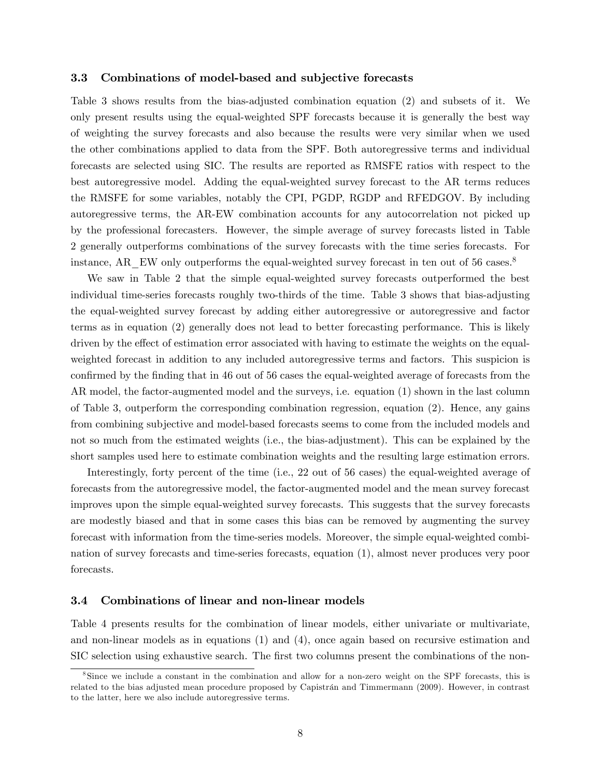#### 3.3 Combinations of model-based and subjective forecasts

Table 3 shows results from the bias-adjusted combination equation (2) and subsets of it. We only present results using the equal-weighted SPF forecasts because it is generally the best way of weighting the survey forecasts and also because the results were very similar when we used the other combinations applied to data from the SPF. Both autoregressive terms and individual forecasts are selected using SIC. The results are reported as RMSFE ratios with respect to the best autoregressive model. Adding the equal-weighted survey forecast to the AR terms reduces the RMSFE for some variables, notably the CPI, PGDP, RGDP and RFEDGOV. By including autoregressive terms, the AR-EW combination accounts for any autocorrelation not picked up by the professional forecasters. However, the simple average of survey forecasts listed in Table 2 generally outperforms combinations of the survey forecasts with the time series forecasts. For instance, AR\_EW only outperforms the equal-weighted survey forecast in ten out of 56 cases.<sup>8</sup>

We saw in Table 2 that the simple equal-weighted survey forecasts outperformed the best individual time-series forecasts roughly two-thirds of the time. Table 3 shows that bias-adjusting the equal-weighted survey forecast by adding either autoregressive or autoregressive and factor terms as in equation (2) generally does not lead to better forecasting performance. This is likely driven by the effect of estimation error associated with having to estimate the weights on the equalweighted forecast in addition to any included autoregressive terms and factors. This suspicion is confirmed by the finding that in 46 out of 56 cases the equal-weighted average of forecasts from the AR model, the factor-augmented model and the surveys, i.e. equation (1) shown in the last column of Table 3, outperform the corresponding combination regression, equation (2). Hence, any gains from combining subjective and model-based forecasts seems to come from the included models and not so much from the estimated weights (i.e., the bias-adjustment). This can be explained by the short samples used here to estimate combination weights and the resulting large estimation errors.

Interestingly, forty percent of the time (i.e., 22 out of 56 cases) the equal-weighted average of forecasts from the autoregressive model, the factor-augmented model and the mean survey forecast improves upon the simple equal-weighted survey forecasts. This suggests that the survey forecasts are modestly biased and that in some cases this bias can be removed by augmenting the survey forecast with information from the time-series models. Moreover, the simple equal-weighted combination of survey forecasts and time-series forecasts, equation (1), almost never produces very poor forecasts.

#### 3.4 Combinations of linear and non-linear models

Table 4 presents results for the combination of linear models, either univariate or multivariate, and non-linear models as in equations (1) and (4), once again based on recursive estimation and SIC selection using exhaustive search. The first two columns present the combinations of the non-

<sup>8</sup> Since we include a constant in the combination and allow for a non-zero weight on the SPF forecasts, this is related to the bias adjusted mean procedure proposed by Capistrán and Timmermann (2009). However, in contrast to the latter, here we also include autoregressive terms.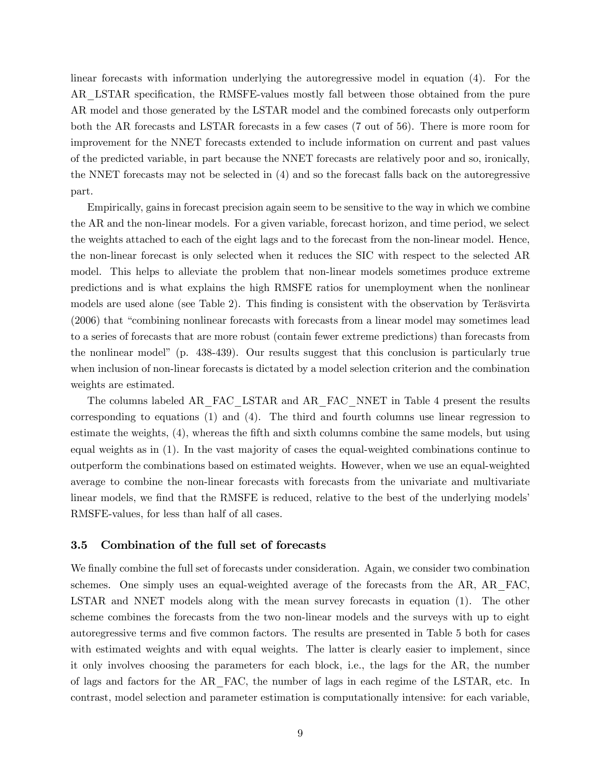linear forecasts with information underlying the autoregressive model in equation (4). For the AR LSTAR specification, the RMSFE-values mostly fall between those obtained from the pure AR model and those generated by the LSTAR model and the combined forecasts only outperform both the AR forecasts and LSTAR forecasts in a few cases (7 out of 56). There is more room for improvement for the NNET forecasts extended to include information on current and past values of the predicted variable, in part because the NNET forecasts are relatively poor and so, ironically, the NNET forecasts may not be selected in (4) and so the forecast falls back on the autoregressive part.

Empirically, gains in forecast precision again seem to be sensitive to the way in which we combine the AR and the non-linear models. For a given variable, forecast horizon, and time period, we select the weights attached to each of the eight lags and to the forecast from the non-linear model. Hence, the non-linear forecast is only selected when it reduces the SIC with respect to the selected AR model. This helps to alleviate the problem that non-linear models sometimes produce extreme predictions and is what explains the high RMSFE ratios for unemployment when the nonlinear models are used alone (see Table 2). This finding is consistent with the observation by Teräsvirta  $(2006)$  that "combining nonlinear forecasts with forecasts from a linear model may sometimes lead to a series of forecasts that are more robust (contain fewer extreme predictions) than forecasts from the nonlinear modelî (p. 438-439). Our results suggest that this conclusion is particularly true when inclusion of non-linear forecasts is dictated by a model selection criterion and the combination weights are estimated.

The columns labeled AR\_FAC\_LSTAR and AR\_FAC\_NNET in Table 4 present the results corresponding to equations (1) and (4). The third and fourth columns use linear regression to estimate the weights, (4), whereas the fifth and sixth columns combine the same models, but using equal weights as in (1). In the vast majority of cases the equal-weighted combinations continue to outperform the combinations based on estimated weights. However, when we use an equal-weighted average to combine the non-linear forecasts with forecasts from the univariate and multivariate linear models, we find that the RMSFE is reduced, relative to the best of the underlying models RMSFE-values, for less than half of all cases.

### 3.5 Combination of the full set of forecasts

We finally combine the full set of forecasts under consideration. Again, we consider two combination schemes. One simply uses an equal-weighted average of the forecasts from the AR, AR\_FAC, LSTAR and NNET models along with the mean survey forecasts in equation (1). The other scheme combines the forecasts from the two non-linear models and the surveys with up to eight autoregressive terms and Öve common factors. The results are presented in Table 5 both for cases with estimated weights and with equal weights. The latter is clearly easier to implement, since it only involves choosing the parameters for each block, i.e., the lags for the AR, the number of lags and factors for the AR\_FAC, the number of lags in each regime of the LSTAR, etc. In contrast, model selection and parameter estimation is computationally intensive: for each variable,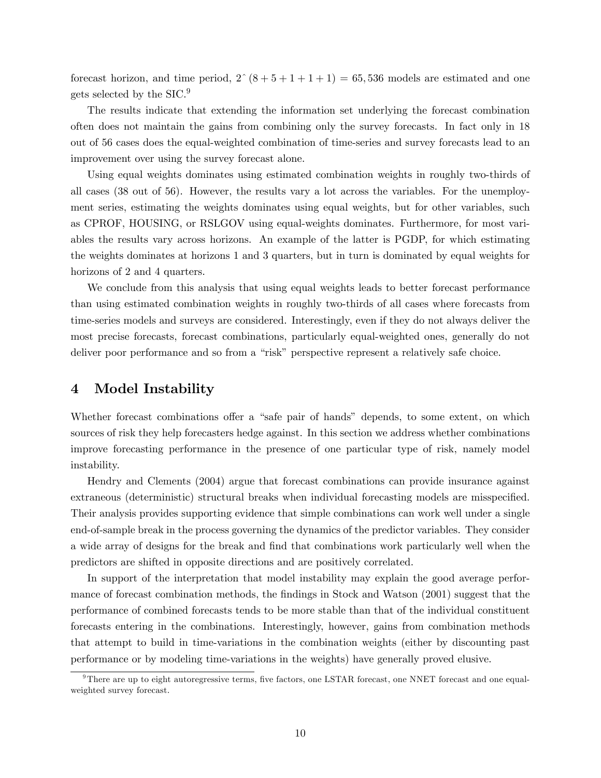forecast horizon, and time period,  $2^{\degree}(8 + 5 + 1 + 1 + 1) = 65,536$  models are estimated and one gets selected by the SIC.<sup>9</sup>

The results indicate that extending the information set underlying the forecast combination often does not maintain the gains from combining only the survey forecasts. In fact only in 18 out of 56 cases does the equal-weighted combination of time-series and survey forecasts lead to an improvement over using the survey forecast alone.

Using equal weights dominates using estimated combination weights in roughly two-thirds of all cases (38 out of 56). However, the results vary a lot across the variables. For the unemployment series, estimating the weights dominates using equal weights, but for other variables, such as CPROF, HOUSING, or RSLGOV using equal-weights dominates. Furthermore, for most variables the results vary across horizons. An example of the latter is PGDP, for which estimating the weights dominates at horizons 1 and 3 quarters, but in turn is dominated by equal weights for horizons of 2 and 4 quarters.

We conclude from this analysis that using equal weights leads to better forecast performance than using estimated combination weights in roughly two-thirds of all cases where forecasts from time-series models and surveys are considered. Interestingly, even if they do not always deliver the most precise forecasts, forecast combinations, particularly equal-weighted ones, generally do not deliver poor performance and so from a "risk" perspective represent a relatively safe choice.

### 4 Model Instability

Whether forecast combinations offer a "safe pair of hands" depends, to some extent, on which sources of risk they help forecasters hedge against. In this section we address whether combinations improve forecasting performance in the presence of one particular type of risk, namely model instability.

Hendry and Clements (2004) argue that forecast combinations can provide insurance against extraneous (deterministic) structural breaks when individual forecasting models are misspecified. Their analysis provides supporting evidence that simple combinations can work well under a single end-of-sample break in the process governing the dynamics of the predictor variables. They consider a wide array of designs for the break and find that combinations work particularly well when the predictors are shifted in opposite directions and are positively correlated.

In support of the interpretation that model instability may explain the good average performance of forecast combination methods, the findings in Stock and Watson (2001) suggest that the performance of combined forecasts tends to be more stable than that of the individual constituent forecasts entering in the combinations. Interestingly, however, gains from combination methods that attempt to build in time-variations in the combination weights (either by discounting past performance or by modeling time-variations in the weights) have generally proved elusive.

 $9$ There are up to eight autoregressive terms, five factors, one LSTAR forecast, one NNET forecast and one equalweighted survey forecast.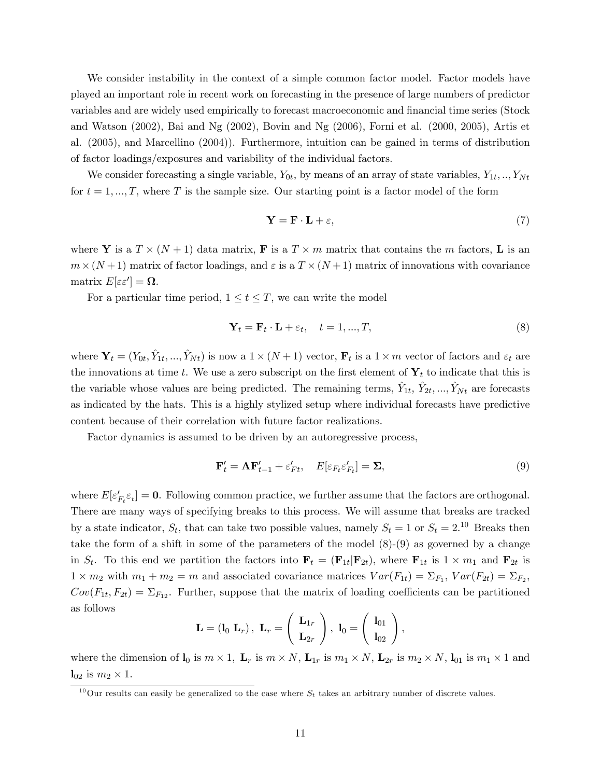We consider instability in the context of a simple common factor model. Factor models have played an important role in recent work on forecasting in the presence of large numbers of predictor variables and are widely used empirically to forecast macroeconomic and financial time series (Stock and Watson (2002), Bai and Ng (2002), Bovin and Ng (2006), Forni et al. (2000, 2005), Artis et al. (2005), and Marcellino (2004)). Furthermore, intuition can be gained in terms of distribution of factor loadings/exposures and variability of the individual factors.

We consider forecasting a single variable,  $Y_{0t}$ , by means of an array of state variables,  $Y_{1t}, ..., Y_{Nt}$ for  $t = 1, \ldots, T$ , where T is the sample size. Our starting point is a factor model of the form

$$
\mathbf{Y} = \mathbf{F} \cdot \mathbf{L} + \varepsilon,\tag{7}
$$

where **Y** is a  $T \times (N + 1)$  data matrix, **F** is a  $T \times m$  matrix that contains the m factors, **L** is an  $m \times (N+1)$  matrix of factor loadings, and  $\varepsilon$  is a  $T \times (N+1)$  matrix of innovations with covariance matrix  $E[\varepsilon \varepsilon'] = \mathbf{\Omega}.$ 

For a particular time period,  $1 \le t \le T$ , we can write the model

$$
\mathbf{Y}_t = \mathbf{F}_t \cdot \mathbf{L} + \varepsilon_t, \quad t = 1, ..., T,
$$
\n(8)

where  $\mathbf{Y}_t = (Y_{0t}, \hat{Y}_{1t}, ..., \hat{Y}_{Nt})$  is now a  $1 \times (N + 1)$  vector,  $\mathbf{F}_t$  is a  $1 \times m$  vector of factors and  $\varepsilon_t$  are the innovations at time t. We use a zero subscript on the first element of  $Y_t$  to indicate that this is the variable whose values are being predicted. The remaining terms,  $\hat{Y}_{1t}$ ,  $\hat{Y}_{2t}$ , ...,  $\hat{Y}_{Nt}$  are forecasts as indicated by the hats. This is a highly stylized setup where individual forecasts have predictive content because of their correlation with future factor realizations.

Factor dynamics is assumed to be driven by an autoregressive process,

$$
\mathbf{F}'_t = \mathbf{A}\mathbf{F}'_{t-1} + \varepsilon'_{Ft}, \quad E[\varepsilon_{F_t}\varepsilon'_{F_t}] = \Sigma,
$$
\n(9)

where  $E[\varepsilon'_{F_t}\varepsilon_t] = 0$ . Following common practice, we further assume that the factors are orthogonal. There are many ways of specifying breaks to this process. We will assume that breaks are tracked by a state indicator,  $S_t$ , that can take two possible values, namely  $S_t = 1$  or  $S_t = 2$ .<sup>10</sup> Breaks then take the form of a shift in some of the parameters of the model  $(8)-(9)$  as governed by a change in  $S_t$ . To this end we partition the factors into  $\mathbf{F}_t = (\mathbf{F}_{1t}|\mathbf{F}_{2t})$ , where  $\mathbf{F}_{1t}$  is  $1 \times m_1$  and  $\mathbf{F}_{2t}$  is  $1 \times m_2$  with  $m_1 + m_2 = m$  and associated covariance matrices  $Var(F_{1t}) = \Sigma_{F_1}$ ,  $Var(F_{2t}) = \Sigma_{F_2}$ ,  $Cov(F_{1t}, F_{2t}) = \Sigma_{F_{12}}$ . Further, suppose that the matrix of loading coefficients can be partitioned as follows

$$
\mathbf{L} = (\mathbf{l}_0 \mathbf{L}_r), \ \mathbf{L}_r = \left(\begin{array}{c} \mathbf{L}_{1r} \\ \mathbf{L}_{2r} \end{array}\right), \ \mathbf{l}_0 = \left(\begin{array}{c} \mathbf{l}_{01} \\ \mathbf{l}_{02} \end{array}\right),
$$

where the dimension of  $\mathbf{l}_0$  is  $m \times 1$ ,  $\mathbf{L}_r$  is  $m \times N$ ,  $\mathbf{L}_{1r}$  is  $m_1 \times N$ ,  $\mathbf{L}_{2r}$  is  $m_2 \times N$ ,  $\mathbf{l}_{01}$  is  $m_1 \times 1$  and  $l_{02}$  is  $m_2 \times 1$ .

<sup>&</sup>lt;sup>10</sup>Our results can easily be generalized to the case where  $S_t$  takes an arbitrary number of discrete values.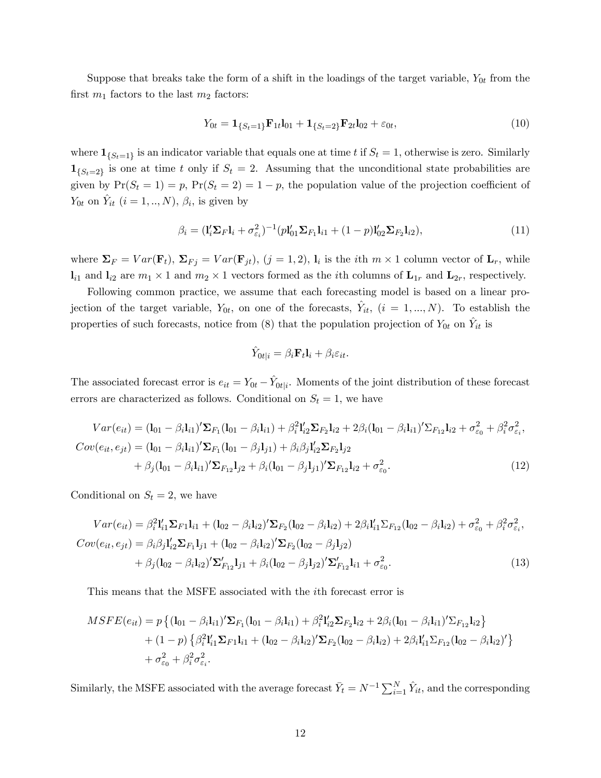Suppose that breaks take the form of a shift in the loadings of the target variable,  $Y_{0t}$  from the first  $m_1$  factors to the last  $m_2$  factors:

$$
Y_{0t} = \mathbf{1}_{\{S_t = 1\}} \mathbf{F}_{1t} \mathbf{I}_{01} + \mathbf{1}_{\{S_t = 2\}} \mathbf{F}_{2t} \mathbf{I}_{02} + \varepsilon_{0t},
$$
\n(10)

where  $\mathbf{1}_{\{S_t=1\}}$  is an indicator variable that equals one at time t if  $S_t = 1$ , otherwise is zero. Similarly  $\mathbf{1}_{\{S_t=2\}}$  is one at time t only if  $S_t = 2$ . Assuming that the unconditional state probabilities are given by  $Pr(S_t = 1) = p$ ,  $Pr(S_t = 2) = 1 - p$ , the population value of the projection coefficient of  $Y_{0t}$  on  $\hat{Y}_{it}$   $(i = 1, ..., N), \beta_i$ , is given by

$$
\beta_i = (\mathbf{l}_i' \mathbf{\Sigma}_F \mathbf{l}_i + \sigma_{\varepsilon_i}^2)^{-1} (p \mathbf{l}_{01}' \mathbf{\Sigma}_{F_1} \mathbf{l}_{i1} + (1-p) \mathbf{l}_{02}' \mathbf{\Sigma}_{F_2} \mathbf{l}_{i2}),
$$
\n(11)

where  $\Sigma_F = Var(\mathbf{F}_t)$ ,  $\Sigma_{Fj} = Var(\mathbf{F}_{jt})$ ,  $(j = 1, 2)$ ,  $\mathbf{l}_i$  is the *i*th  $m \times 1$  column vector of  $\mathbf{L}_r$ , while  $\mathbf{l}_{i1}$  and  $\mathbf{l}_{i2}$  are  $m_1 \times 1$  and  $m_2 \times 1$  vectors formed as the *i*th columns of  $\mathbf{L}_{1r}$  and  $\mathbf{L}_{2r}$ , respectively.

Following common practice, we assume that each forecasting model is based on a linear projection of the target variable,  $Y_{0t}$ , on one of the forecasts,  $\hat{Y}_{it}$ ,  $(i = 1, ..., N)$ . To establish the properties of such forecasts, notice from (8) that the population projection of  $Y_{0t}$  on  $\hat{Y}_{it}$  is

$$
\hat{Y}_{0t|i} = \beta_i \mathbf{F}_t \mathbf{l}_i + \beta_i \varepsilon_{it}.
$$

The associated forecast error is  $e_{it} = Y_{0t} - \hat{Y}_{0t|i}$ . Moments of the joint distribution of these forecast errors are characterized as follows. Conditional on  $S_t = 1$ , we have

$$
Var(e_{it}) = (\mathbf{l}_{01} - \beta_i \mathbf{l}_{i1})' \mathbf{\Sigma}_{F_1} (\mathbf{l}_{01} - \beta_i \mathbf{l}_{i1}) + \beta_i^2 \mathbf{l}'_{i2} \mathbf{\Sigma}_{F_2} \mathbf{l}_{i2} + 2\beta_i (\mathbf{l}_{01} - \beta_i \mathbf{l}_{i1})' \mathbf{\Sigma}_{F_{12}} \mathbf{l}_{i2} + \sigma_{\varepsilon_0}^2 + \beta_i^2 \sigma_{\varepsilon_i}^2,
$$
  
\n
$$
Cov(e_{it}, e_{jt}) = (\mathbf{l}_{01} - \beta_i \mathbf{l}_{i1})' \mathbf{\Sigma}_{F_1} (\mathbf{l}_{01} - \beta_j \mathbf{l}_{j1}) + \beta_i \beta_j \mathbf{l}'_{i2} \mathbf{\Sigma}_{F_2} \mathbf{l}_{j2} + \beta_i (\mathbf{l}_{01} - \beta_j \mathbf{l}_{j1})' \mathbf{\Sigma}_{F_{12}} \mathbf{l}_{i2} + \sigma_{\varepsilon_0}^2.
$$
\n
$$
(12)
$$

Conditional on  $S_t = 2$ , we have

$$
Var(e_{it}) = \beta_i^2 \mathbf{l}'_{i1} \mathbf{\Sigma}_{F1} \mathbf{l}_{i1} + (\mathbf{l}_{02} - \beta_i \mathbf{l}_{i2})' \mathbf{\Sigma}_{F_2} (\mathbf{l}_{02} - \beta_i \mathbf{l}_{i2}) + 2\beta_i \mathbf{l}'_{i1} \mathbf{\Sigma}_{F_{12}} (\mathbf{l}_{02} - \beta_i \mathbf{l}_{i2}) + \sigma_{\varepsilon_0}^2 + \beta_i^2 \sigma_{\varepsilon_i}^2,
$$
  
\n
$$
Cov(e_{it}, e_{jt}) = \beta_i \beta_j \mathbf{l}'_{i2} \mathbf{\Sigma}_{F_1} \mathbf{l}_{j1} + (\mathbf{l}_{02} - \beta_i \mathbf{l}_{i2})' \mathbf{\Sigma}_{F_2} (\mathbf{l}_{02} - \beta_j \mathbf{l}_{j2})
$$
  
\n
$$
+ \beta_j (\mathbf{l}_{02} - \beta_i \mathbf{l}_{i2})' \mathbf{\Sigma}'_{F_{12}} \mathbf{l}_{j1} + \beta_i (\mathbf{l}_{02} - \beta_j \mathbf{l}_{j2})' \mathbf{\Sigma}'_{F_{12}} \mathbf{l}_{i1} + \sigma_{\varepsilon_0}^2.
$$
\n(13)

This means that the MSFE associated with the ith forecast error is

$$
MSFE(e_{it}) = p \{ (\mathbf{l}_{01} - \beta_i \mathbf{l}_{i1})' \mathbf{\Sigma}_{F_1} (\mathbf{l}_{01} - \beta_i \mathbf{l}_{i1}) + \beta_i^2 \mathbf{l}'_{i2} \mathbf{\Sigma}_{F_2} \mathbf{l}_{i2} + 2\beta_i (\mathbf{l}_{01} - \beta_i \mathbf{l}_{i1})' \mathbf{\Sigma}_{F_{12}} \mathbf{l}_{i2} \}+ (1 - p) \{ \beta_i^2 \mathbf{l}'_{i1} \mathbf{\Sigma}_{F_1} \mathbf{l}_{i1} + (\mathbf{l}_{02} - \beta_i \mathbf{l}_{i2})' \mathbf{\Sigma}_{F_2} (\mathbf{l}_{02} - \beta_i \mathbf{l}_{i2}) + 2\beta_i \mathbf{l}'_{i1} \mathbf{\Sigma}_{F_{12}} (\mathbf{l}_{02} - \beta_i \mathbf{l}_{i2})' \}+ \sigma_{\varepsilon_0}^2 + \beta_i^2 \sigma_{\varepsilon_i}^2.
$$

Similarly, the MSFE associated with the average forecast  $\bar{Y}_t = N^{-1} \sum_{i=1}^N \hat{Y}_{it}$ , and the corresponding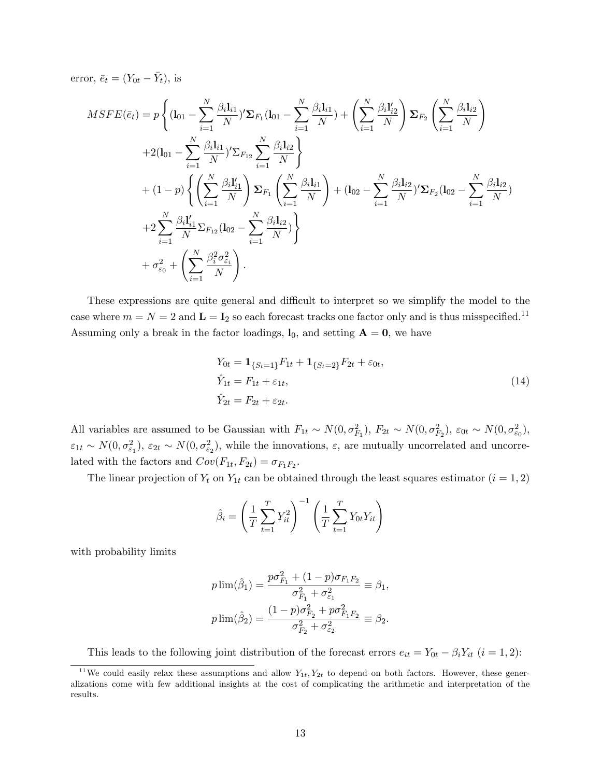error,  $\bar{e}_t = (Y_{0t} - \bar{Y}_t)$ , is

$$
MSFE(\bar{e}_{t}) = p \left\{ (l_{01} - \sum_{i=1}^{N} \frac{\beta_{i} l_{i1}}{N})' \Sigma_{F_{1}} (l_{01} - \sum_{i=1}^{N} \frac{\beta_{i} l_{i1}}{N}) + \left( \sum_{i=1}^{N} \frac{\beta_{i} l_{i2}}{N} \right) \Sigma_{F_{2}} \left( \sum_{i=1}^{N} \frac{\beta_{i} l_{i2}}{N} \right) \right.+ 2(l_{01} - \sum_{i=1}^{N} \frac{\beta_{i} l_{i1}}{N})' \Sigma_{F_{12}} \sum_{i=1}^{N} \frac{\beta_{i} l_{i2}}{N} \right\}+ (1-p) \left\{ \left( \sum_{i=1}^{N} \frac{\beta_{i} l_{i1}}{N} \right) \Sigma_{F_{1}} \left( \sum_{i=1}^{N} \frac{\beta_{i} l_{i1}}{N} \right) + (l_{02} - \sum_{i=1}^{N} \frac{\beta_{i} l_{i2}}{N})' \Sigma_{F_{2}} (l_{02} - \sum_{i=1}^{N} \frac{\beta_{i} l_{i2}}{N}) \right.+ 2 \sum_{i=1}^{N} \frac{\beta_{i} l_{i1}'}{N} \Sigma_{F_{12}} (l_{02} - \sum_{i=1}^{N} \frac{\beta_{i} l_{i2}}{N}) \right\}+ \sigma_{\varepsilon_{0}}^{2} + \left( \sum_{i=1}^{N} \frac{\beta_{i}^{2} \sigma_{\varepsilon_{i}}^{2}}{N} \right).
$$

These expressions are quite general and difficult to interpret so we simplify the model to the case where  $m = N = 2$  and  $\mathbf{L} = \mathbf{I}_2$  so each forecast tracks one factor only and is thus misspecified.<sup>11</sup> Assuming only a break in the factor loadings,  $l_0$ , and setting  $A = 0$ , we have

$$
Y_{0t} = \mathbf{1}_{\{S_t = 1\}} F_{1t} + \mathbf{1}_{\{S_t = 2\}} F_{2t} + \varepsilon_{0t},
$$
  
\n
$$
\hat{Y}_{1t} = F_{1t} + \varepsilon_{1t},
$$
  
\n
$$
\hat{Y}_{2t} = F_{2t} + \varepsilon_{2t}.
$$
\n(14)

All variables are assumed to be Gaussian with  $F_{1t} \sim N(0, \sigma_{F_1}^2)$ ,  $F_{2t} \sim N(0, \sigma_{F_2}^2)$ ,  $\varepsilon_{0t} \sim N(0, \sigma_{\varepsilon_0}^2)$ ,  $\varepsilon_{1t} \sim N(0, \sigma_{\varepsilon_1}^2), \, \varepsilon_{2t} \sim N(0, \sigma_{\varepsilon_2}^2),$  while the innovations,  $\varepsilon$ , are mutually uncorrelated and uncorrelated with the factors and  $Cov(F_{1t}, F_{2t}) = \sigma_{F_1F_2}$ .

The linear projection of  $Y_t$  on  $Y_{1t}$  can be obtained through the least squares estimator  $(i = 1, 2)$ 

$$
\hat{\beta}_i = \left(\frac{1}{T} \sum_{t=1}^T Y_{it}^2\right)^{-1} \left(\frac{1}{T} \sum_{t=1}^T Y_{0t} Y_{it}\right)
$$

with probability limits

$$
p \lim_{\hat{\beta}_1} (\hat{\beta}_1) = \frac{p \sigma_{F_1}^2 + (1 - p) \sigma_{F_1 F_2}}{\sigma_{F_1}^2 + \sigma_{\varepsilon_1}^2} \equiv \beta_1,
$$
  

$$
p \lim_{\hat{\beta}_2} (\hat{\beta}_2) = \frac{(1 - p) \sigma_{F_2}^2 + p \sigma_{F_1 F_2}^2}{\sigma_{F_2}^2 + \sigma_{\varepsilon_2}^2} \equiv \beta_2.
$$

This leads to the following joint distribution of the forecast errors  $e_{it} = Y_{0t} - \beta_i Y_{it}$  ( $i = 1, 2$ ):

<sup>&</sup>lt;sup>11</sup>We could easily relax these assumptions and allow  $Y_{1t}$ ,  $Y_{2t}$  to depend on both factors. However, these generalizations come with few additional insights at the cost of complicating the arithmetic and interpretation of the results.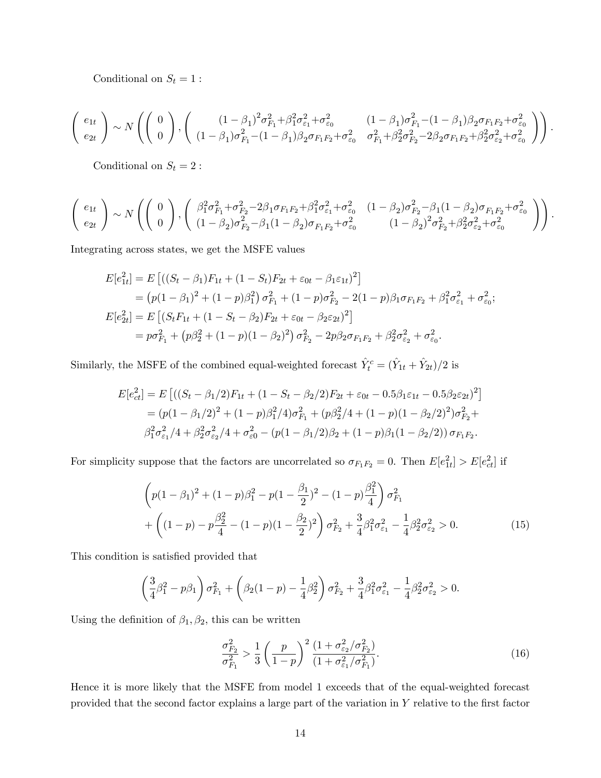Conditional on  $\mathcal{S}_t = 1$  :

$$
\begin{pmatrix} e_{1t} \\ e_{2t} \end{pmatrix} \sim N \left( \begin{pmatrix} 0 \\ 0 \end{pmatrix}, \begin{pmatrix} (1-\beta_1)^2 \sigma_{F_1}^2 + \beta_1^2 \sigma_{\varepsilon_1}^2 + \sigma_{\varepsilon_0}^2 & (1-\beta_1) \sigma_{F_1}^2 - (1-\beta_1) \beta_2 \sigma_{F_1 F_2} + \sigma_{\varepsilon_0}^2 \\ (1-\beta_1) \sigma_{F_1}^2 - (1-\beta_1) \beta_2 \sigma_{F_1 F_2} + \sigma_{\varepsilon_0}^2 & \sigma_{F_1}^2 + \beta_2^2 \sigma_{F_2}^2 - 2 \beta_2 \sigma_{F_1 F_2} + \beta_2^2 \sigma_{\varepsilon_2}^2 + \sigma_{\varepsilon_0}^2 \end{pmatrix} \right).
$$

Conditional on  $\mathcal{S}_t = 2$  :

$$
\left(\begin{array}{c} e_{1t} \\ e_{2t} \end{array}\right) \sim N\left(\left(\begin{array}{c} 0 \\ 0 \end{array}\right), \left(\begin{array}{c} \beta_{1}^{2}\sigma_{F_{1}}^{2} + \sigma_{F_{2}}^{2} - 2\beta_{1}\sigma_{F_{1}F_{2}} + \beta_{1}^{2}\sigma_{\varepsilon_{1}}^{2} + \sigma_{\varepsilon_{0}}^{2} & (1-\beta_{2})\sigma_{F_{2}}^{2} - \beta_{1}(1-\beta_{2})\sigma_{F_{1}F_{2}} + \sigma_{\varepsilon_{0}}^{2} \\ (1-\beta_{2})\sigma_{F_{2}}^{2} - \beta_{1}(1-\beta_{2})\sigma_{F_{1}F_{2}} + \sigma_{\varepsilon_{0}}^{2} & (1-\beta_{2})^{2}\sigma_{F_{2}}^{2} + \beta_{2}^{2}\sigma_{\varepsilon_{2}}^{2} + \sigma_{\varepsilon_{0}}^{2} \end{array}\right)\right).
$$

Integrating across states, we get the MSFE values

$$
E[e_{1t}^{2}] = E\left[((S_{t} - \beta_{1})F_{1t} + (1 - S_{t})F_{2t} + \varepsilon_{0t} - \beta_{1}\varepsilon_{1t})^{2}\right]
$$
  
=  $(p(1 - \beta_{1})^{2} + (1 - p)\beta_{1}^{2}) \sigma_{F_{1}}^{2} + (1 - p)\sigma_{F_{2}}^{2} - 2(1 - p)\beta_{1}\sigma_{F_{1}F_{2}} + \beta_{1}^{2}\sigma_{\varepsilon_{1}}^{2} + \sigma_{\varepsilon_{0}}^{2};$   

$$
E[e_{2t}^{2}] = E\left[ (S_{t}F_{1t} + (1 - S_{t} - \beta_{2})F_{2t} + \varepsilon_{0t} - \beta_{2}\varepsilon_{2t})^{2}\right]
$$
  
=  $p\sigma_{F_{1}}^{2} + (p\beta_{2}^{2} + (1 - p)(1 - \beta_{2})^{2}) \sigma_{F_{2}}^{2} - 2p\beta_{2}\sigma_{F_{1}F_{2}} + \beta_{2}^{2}\sigma_{\varepsilon_{2}}^{2} + \sigma_{\varepsilon_{0}}^{2}.$ 

Similarly, the MSFE of the combined equal-weighted forecast  $\hat{Y}_t^c = (\hat{Y}_{1t} + \hat{Y}_{2t})/2$  is

$$
E[e_{ct}^2] = E\left[ \left( (S_t - \beta_1/2) F_{1t} + (1 - S_t - \beta_2/2) F_{2t} + \varepsilon_{0t} - 0.5 \beta_1 \varepsilon_{1t} - 0.5 \beta_2 \varepsilon_{2t} \right)^2 \right]
$$
  
= 
$$
(p(1 - \beta_1/2)^2 + (1 - p)\beta_1^2/4)\sigma_{F_1}^2 + (p\beta_2^2/4 + (1 - p)(1 - \beta_2/2)^2)\sigma_{F_2}^2 +
$$

$$
\beta_1^2 \sigma_{\varepsilon_1}^2/4 + \beta_2^2 \sigma_{\varepsilon_2}^2/4 + \sigma_{\varepsilon_0}^2 - (p(1 - \beta_1/2)\beta_2 + (1 - p)\beta_1(1 - \beta_2/2)) \sigma_{F_1F_2}.
$$

For simplicity suppose that the factors are uncorrelated so  $\sigma_{F_1F_2} = 0$ . Then  $E[e_{1t}^2] > E[e_{ct}^2]$  if

$$
\left(p(1 - \beta_1)^2 + (1 - p)\beta_1^2 - p(1 - \frac{\beta_1}{2})^2 - (1 - p)\frac{\beta_1^2}{4}\right)\sigma_{F_1}^2 + \left((1 - p) - p\frac{\beta_2^2}{4} - (1 - p)(1 - \frac{\beta_2}{2})^2\right)\sigma_{F_2}^2 + \frac{3}{4}\beta_1^2\sigma_{\varepsilon_1}^2 - \frac{1}{4}\beta_2^2\sigma_{\varepsilon_2}^2 > 0.
$$
\n(15)

This condition is satisfied provided that

$$
\left(\frac{3}{4}\beta_1^2 - p\beta_1\right)\sigma_{F_1}^2 + \left(\beta_2(1-p) - \frac{1}{4}\beta_2^2\right)\sigma_{F_2}^2 + \frac{3}{4}\beta_1^2\sigma_{\varepsilon_1}^2 - \frac{1}{4}\beta_2^2\sigma_{\varepsilon_2}^2 > 0.
$$

Using the definition of  $\beta_1, \beta_2$ , this can be written

$$
\frac{\sigma_{F_2}^2}{\sigma_{F_1}^2} > \frac{1}{3} \left( \frac{p}{1-p} \right)^2 \frac{\left( 1 + \sigma_{\varepsilon_2}^2 / \sigma_{F_2}^2 \right)}{\left( 1 + \sigma_{\varepsilon_1}^2 / \sigma_{F_1}^2 \right)}.
$$
\n(16)

Hence it is more likely that the MSFE from model 1 exceeds that of the equal-weighted forecast provided that the second factor explains a large part of the variation in  $Y$  relative to the first factor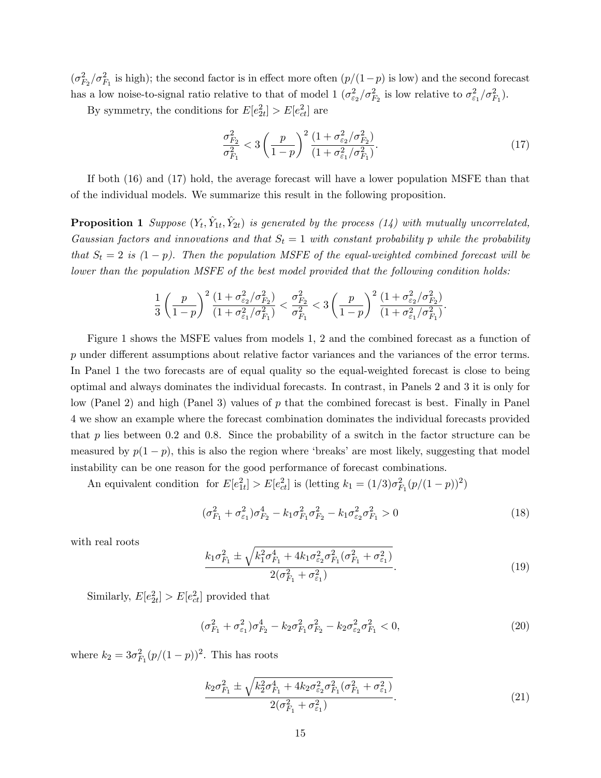$(\sigma_{F_2}^2/\sigma_{F_1}^2)$  is high); the second factor is in effect more often  $(p/(1-p))$  is low) and the second forecast has a low noise-to-signal ratio relative to that of model 1  $(\sigma_{\varepsilon_2}^2/\sigma_{F_2}^2)$  is low relative to  $\sigma_{\varepsilon_1}^2/\sigma_{F_1}^2$ .

By symmetry, the conditions for  $E[e_{2t}^2] > E[e_{ct}^2]$  are

$$
\frac{\sigma_{F_2}^2}{\sigma_{F_1}^2} < 3\left(\frac{p}{1-p}\right)^2 \frac{\left(1+\sigma_{\varepsilon_2}^2/\sigma_{F_2}^2\right)}{\left(1+\sigma_{\varepsilon_1}^2/\sigma_{F_1}^2\right)}.\tag{17}
$$

If both (16) and (17) hold, the average forecast will have a lower population MSFE than that of the individual models. We summarize this result in the following proposition.

**Proposition 1** Suppose  $(Y_t, \hat{Y}_{1t}, \hat{Y}_{2t})$  is generated by the process (14) with mutually uncorrelated, Gaussian factors and innovations and that  $S_t = 1$  with constant probability p while the probability that  $S_t = 2$  is  $(1 - p)$ . Then the population MSFE of the equal-weighted combined forecast will be lower than the population MSFE of the best model provided that the following condition holds:

$$
\frac{1}{3}\left(\frac{p}{1-p}\right)^2\frac{(1+\sigma_{\varepsilon_2}^2/\sigma_{F_2}^2)}{(1+\sigma_{\varepsilon_1}^2/\sigma_{F_1}^2)}<\frac{\sigma_{F_2}^2}{\sigma_{F_1}^2}<3\left(\frac{p}{1-p}\right)^2\frac{(1+\sigma_{\varepsilon_2}^2/\sigma_{F_2}^2)}{(1+\sigma_{\varepsilon_1}^2/\sigma_{F_1}^2)}.
$$

Figure 1 shows the MSFE values from models 1, 2 and the combined forecast as a function of  $p$  under different assumptions about relative factor variances and the variances of the error terms. In Panel 1 the two forecasts are of equal quality so the equal-weighted forecast is close to being optimal and always dominates the individual forecasts. In contrast, in Panels 2 and 3 it is only for low (Panel 2) and high (Panel 3) values of  $p$  that the combined forecast is best. Finally in Panel 4 we show an example where the forecast combination dominates the individual forecasts provided that  $p$  lies between 0.2 and 0.8. Since the probability of a switch in the factor structure can be measured by  $p(1-p)$ , this is also the region where 'breaks' are most likely, suggesting that model instability can be one reason for the good performance of forecast combinations.

An equivalent condition for  $E[e_{1t}^2] > E[e_{ct}^2]$  is (letting  $k_1 = (1/3)\sigma_{F_1}^2 (p/(1-p))^2)$ )

$$
(\sigma_{F_1}^2 + \sigma_{\varepsilon_1}^2)\sigma_{F_2}^4 - k_1 \sigma_{F_1}^2 \sigma_{F_2}^2 - k_1 \sigma_{\varepsilon_2}^2 \sigma_{F_1}^2 > 0
$$
\n(18)

with real roots

$$
\frac{k_1 \sigma_{F_1}^2 \pm \sqrt{k_1^2 \sigma_{F_1}^4 + 4k_1 \sigma_{\varepsilon_2}^2 \sigma_{F_1}^2 (\sigma_{F_1}^2 + \sigma_{\varepsilon_1}^2)}}{2(\sigma_{F_1}^2 + \sigma_{\varepsilon_1}^2)}.
$$
\n(19)

Similarly,  $E[e_{2t}^2] > E[e_{ct}^2]$  provided that

$$
(\sigma_{F_1}^2 + \sigma_{\varepsilon_1}^2)\sigma_{F_2}^4 - k_2\sigma_{F_1}^2\sigma_{F_2}^2 - k_2\sigma_{\varepsilon_2}^2\sigma_{F_1}^2 < 0,\tag{20}
$$

where  $k_2 = 3\sigma_{F_1}^2 (p/(1-p))^2$ . This has roots

$$
\frac{k_2\sigma_{F_1}^2 \pm \sqrt{k_2^2\sigma_{F_1}^4 + 4k_2\sigma_{\varepsilon_2}^2\sigma_{F_1}^2(\sigma_{F_1}^2 + \sigma_{\varepsilon_1}^2)}}{2(\sigma_{F_1}^2 + \sigma_{\varepsilon_1}^2)}.
$$
\n(21)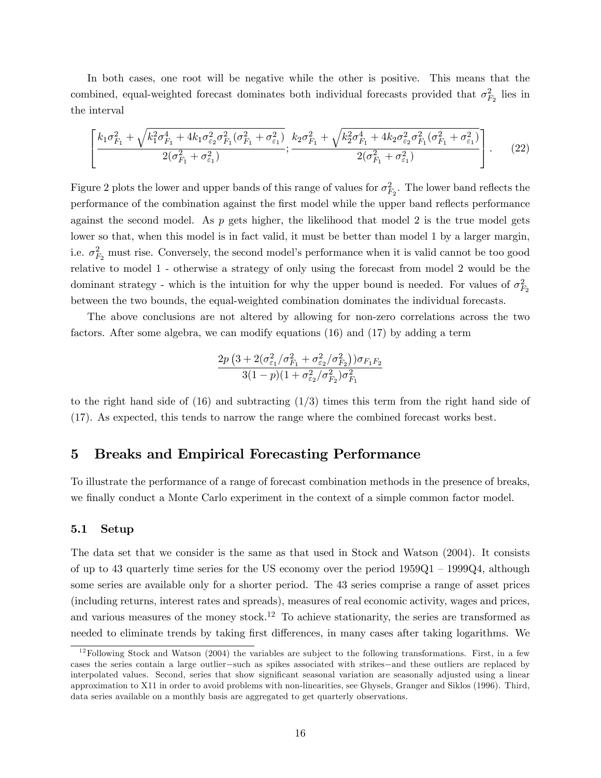In both cases, one root will be negative while the other is positive. This means that the combined, equal-weighted forecast dominates both individual forecasts provided that  $\sigma_{F_2}^2$  lies in the interval

$$
\left[\frac{k_1\sigma_{F_1}^2 + \sqrt{k_1^2\sigma_{F_1}^4 + 4k_1\sigma_{\varepsilon_2}^2\sigma_{F_1}^2(\sigma_{F_1}^2 + \sigma_{\varepsilon_1}^2)}}{2(\sigma_{F_1}^2 + \sigma_{\varepsilon_1}^2)}; \frac{k_2\sigma_{F_1}^2 + \sqrt{k_2^2\sigma_{F_1}^4 + 4k_2\sigma_{\varepsilon_2}^2\sigma_{F_1}^2(\sigma_{F_1}^2 + \sigma_{\varepsilon_1}^2)}}{2(\sigma_{F_1}^2 + \sigma_{\varepsilon_1}^2)}\right].
$$
 (22)

Figure 2 plots the lower and upper bands of this range of values for  $\sigma_{F_2}^2$ . The lower band reflects the performance of the combination against the first model while the upper band reflects performance against the second model. As  $p$  gets higher, the likelihood that model 2 is the true model gets lower so that, when this model is in fact valid, it must be better than model 1 by a larger margin, i.e.  $\sigma_{F_2}^2$  must rise. Conversely, the second model's performance when it is valid cannot be too good relative to model 1 - otherwise a strategy of only using the forecast from model 2 would be the dominant strategy - which is the intuition for why the upper bound is needed. For values of  $\sigma_{F_2}^2$ between the two bounds, the equal-weighted combination dominates the individual forecasts.

The above conclusions are not altered by allowing for non-zero correlations across the two factors. After some algebra, we can modify equations (16) and (17) by adding a term

$$
\frac{2p\left(3+2(\sigma_{\varepsilon_1}^2/\sigma_{F_1}^2+\sigma_{\varepsilon_2}^2/\sigma_{F_2}^2)\right)\sigma_{F_1F_2}}{3(1-p)(1+\sigma_{\varepsilon_2}^2/\sigma_{F_2}^2)\sigma_{F_1}^2}
$$

to the right hand side of  $(16)$  and subtracting  $(1/3)$  times this term from the right hand side of (17). As expected, this tends to narrow the range where the combined forecast works best.

### 5 Breaks and Empirical Forecasting Performance

To illustrate the performance of a range of forecast combination methods in the presence of breaks, we finally conduct a Monte Carlo experiment in the context of a simple common factor model.

### 5.1 Setup

The data set that we consider is the same as that used in Stock and Watson (2004). It consists of up to 43 quarterly time series for the US economy over the period  $1959Q1 - 1999Q4$ , although some series are available only for a shorter period. The 43 series comprise a range of asset prices (including returns, interest rates and spreads), measures of real economic activity, wages and prices, and various measures of the money stock.<sup>12</sup> To achieve stationarity, the series are transformed as needed to eliminate trends by taking first differences, in many cases after taking logarithms. We

 $12$ Following Stock and Watson (2004) the variables are subject to the following transformations. First, in a few cases the series contain a large outlier-such as spikes associated with strikes-and these outliers are replaced by interpolated values. Second, series that show significant seasonal variation are seasonally adjusted using a linear approximation to X11 in order to avoid problems with non-linearities, see Ghysels, Granger and Siklos (1996). Third, data series available on a monthly basis are aggregated to get quarterly observations.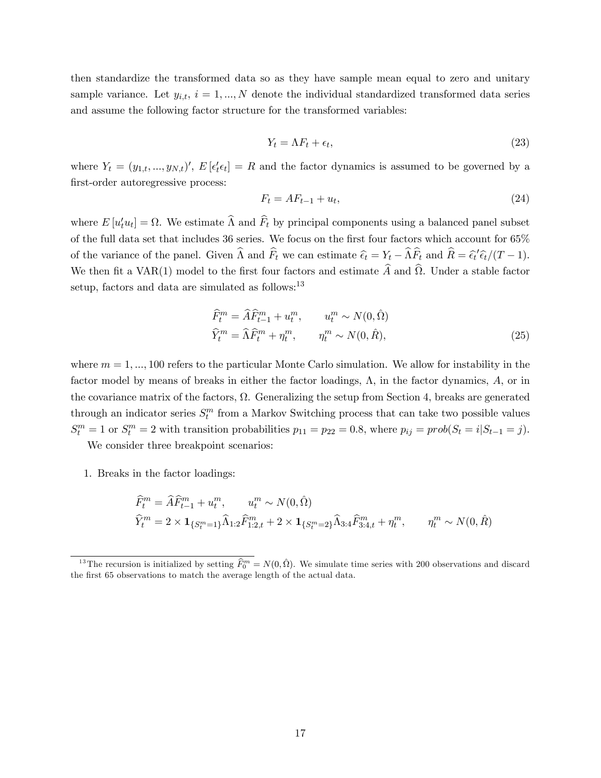then standardize the transformed data so as they have sample mean equal to zero and unitary sample variance. Let  $y_{i,t}$ ,  $i = 1, ..., N$  denote the individual standardized transformed data series and assume the following factor structure for the transformed variables:

$$
Y_t = \Lambda F_t + \epsilon_t,\tag{23}
$$

where  $Y_t = (y_{1,t},...,y_{N,t})'$ ,  $E[\epsilon_t' \epsilon_t] = R$  and the factor dynamics is assumed to be governed by a first-order autoregressive process:

$$
F_t = AF_{t-1} + u_t,\tag{24}
$$

where  $E[u_t^{\dagger}u_t] = \Omega$ . We estimate  $\Lambda$  and  $F_t$  by principal components using a balanced panel subset of the full data set that includes 36 series. We focus on the first four factors which account for  $65\%$ of the variance of the panel. Given  $\Lambda$  and  $F_t$  we can estimate  $\hat{\epsilon}_t = Y_t - \Lambda F_t$  and  $R = \hat{\epsilon}_t' \hat{\epsilon}_t / (T - 1)$ . We then fit a  $VAR(1)$  model to the first four factors and estimate A and  $\Omega$ . Under a stable factor setup, factors and data are simulated as follows:<sup>13</sup>

$$
\widehat{F}_t^m = \widehat{A}\widehat{F}_{t-1}^m + u_t^m, \qquad u_t^m \sim N(0, \widehat{\Omega})
$$
  

$$
\widehat{Y}_t^m = \widehat{\Lambda}\widehat{F}_t^m + \eta_t^m, \qquad \eta_t^m \sim N(0, \widehat{R}),
$$
 (25)

where  $m = 1, \ldots, 100$  refers to the particular Monte Carlo simulation. We allow for instability in the factor model by means of breaks in either the factor loadings,  $\Lambda$ , in the factor dynamics,  $A$ , or in the covariance matrix of the factors,  $\Omega$ . Generalizing the setup from Section 4, breaks are generated through an indicator series  $S_t^m$  from a Markov Switching process that can take two possible values  $S_t^m = 1$  or  $S_t^m = 2$  with transition probabilities  $p_{11} = p_{22} = 0.8$ , where  $p_{ij} = prob(S_t = i | S_{t-1} = j)$ .

We consider three breakpoint scenarios:

1. Breaks in the factor loadings:

$$
\begin{aligned}\n\widehat{F}_t^m &= \widehat{A}\widehat{F}_{t-1}^m + u_t^m, \qquad u_t^m \sim N(0, \hat{\Omega}) \\
\widehat{Y}_t^m &= 2 \times \mathbf{1}_{\{S_t^m = 1\}} \widehat{\Lambda}_{1:2} \widehat{F}_{1:2,t}^m + 2 \times \mathbf{1}_{\{S_t^m = 2\}} \widehat{\Lambda}_{3:4} \widehat{F}_{3:4,t}^m + \eta_t^m, \qquad \eta_t^m \sim N(0, \hat{R})\n\end{aligned}
$$

<sup>&</sup>lt;sup>13</sup>The recursion is initialized by setting  $\widehat{F}_0^m = N(0, \hat{\Omega})$ . We simulate time series with 200 observations and discard the first 65 observations to match the average length of the actual data.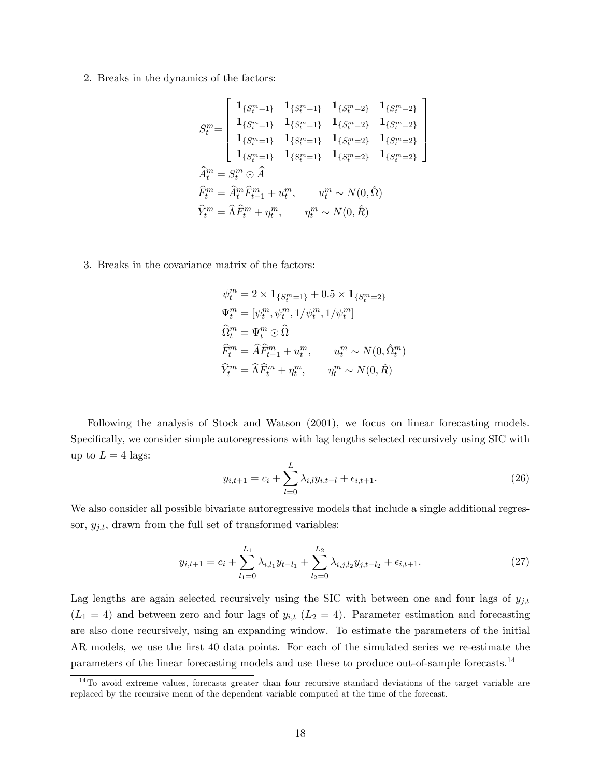2. Breaks in the dynamics of the factors:

$$
S_t^m \!=\! \left[ \begin{array}{cccc} \mathbf{1}_{\{S_t^m=1\}} & \mathbf{1}_{\{S_t^m=1\}} & \mathbf{1}_{\{S_t^m=2\}} & \mathbf{1}_{\{S_t^m=2\}} \\ \mathbf{1}_{\{S_t^m=1\}} & \mathbf{1}_{\{S_t^m=1\}} & \mathbf{1}_{\{S_t^m=2\}} & \mathbf{1}_{\{S_t^m=2\}} \\ \mathbf{1}_{\{S_t^m=1\}} & \mathbf{1}_{\{S_t^m=1\}} & \mathbf{1}_{\{S_t^m=2\}} & \mathbf{1}_{\{S_t^m=2\}} \\ \mathbf{1}_{\{S_t^m=1\}} & \mathbf{1}_{\{S_t^m=1\}} & \mathbf{1}_{\{S_t^m=2\}} & \mathbf{1}_{\{S_t^m=2\}} \\ \widehat{A}_t^m = S_t^m \odot \widehat{A} \\ \widehat{F}_t^m = \widehat{A}_t^m \widehat{F}_{t-1}^m + u_t^m, \qquad u_t^m \sim N(0, \widehat{\Omega}) \\ \widehat{Y}_t^m = \widehat{\Lambda} \widehat{F}_t^m + \eta_t^m, \qquad \eta_t^m \sim N(0, \widehat{R}) \end{array} \right]
$$

3. Breaks in the covariance matrix of the factors:

$$
\psi_t^m = 2 \times \mathbf{1}_{\{S_t^m = 1\}} + 0.5 \times \mathbf{1}_{\{S_t^m = 2\}}
$$
  
\n
$$
\Psi_t^m = [\psi_t^m, \psi_t^m, 1/\psi_t^m, 1/\psi_t^m]
$$
  
\n
$$
\widehat{\Omega}_t^m = \Psi_t^m \odot \widehat{\Omega}
$$
  
\n
$$
\widehat{F}_t^m = \widehat{A}\widehat{F}_{t-1}^m + u_t^m, \qquad u_t^m \sim N(0, \widehat{\Omega}_t^m)
$$
  
\n
$$
\widehat{Y}_t^m = \widehat{\Lambda}\widehat{F}_t^m + \eta_t^m, \qquad \eta_t^m \sim N(0, \widehat{R})
$$

Following the analysis of Stock and Watson (2001), we focus on linear forecasting models. Specifically, we consider simple autoregressions with lag lengths selected recursively using SIC with up to  $L = 4$  lags:

$$
y_{i,t+1} = c_i + \sum_{l=0}^{L} \lambda_{i,l} y_{i,t-l} + \epsilon_{i,t+1}.
$$
 (26)

We also consider all possible bivariate autoregressive models that include a single additional regressor,  $y_{j,t}$ , drawn from the full set of transformed variables:

$$
y_{i,t+1} = c_i + \sum_{l_1=0}^{L_1} \lambda_{i,l_1} y_{t-l_1} + \sum_{l_2=0}^{L_2} \lambda_{i,j,l_2} y_{j,t-l_2} + \epsilon_{i,t+1}.
$$
 (27)

Lag lengths are again selected recursively using the SIC with between one and four lags of  $y_{j,t}$  $(L_1 = 4)$  and between zero and four lags of  $y_{i,t}$   $(L_2 = 4)$ . Parameter estimation and forecasting are also done recursively, using an expanding window. To estimate the parameters of the initial AR models, we use the first 40 data points. For each of the simulated series we re-estimate the parameters of the linear forecasting models and use these to produce out-of-sample forecasts.<sup>14</sup>

 $14$ To avoid extreme values, forecasts greater than four recursive standard deviations of the target variable are replaced by the recursive mean of the dependent variable computed at the time of the forecast.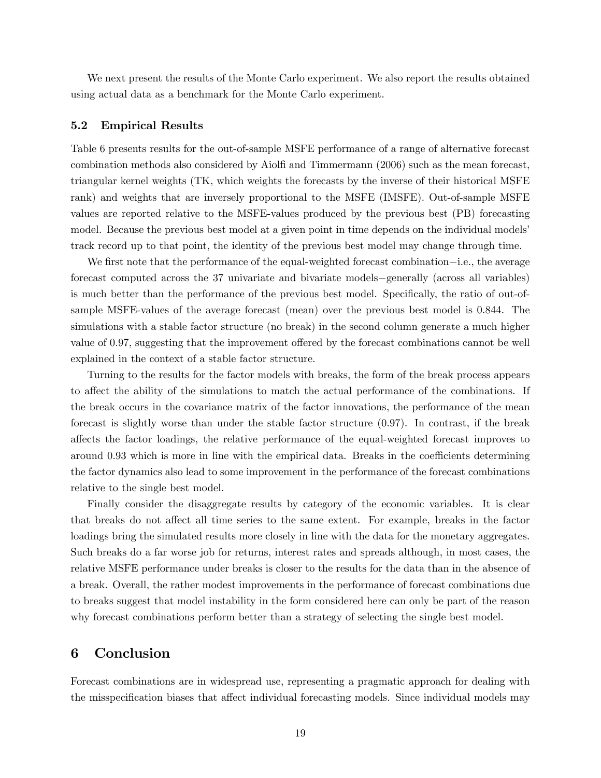We next present the results of the Monte Carlo experiment. We also report the results obtained using actual data as a benchmark for the Monte Carlo experiment.

### 5.2 Empirical Results

Table 6 presents results for the out-of-sample MSFE performance of a range of alternative forecast combination methods also considered by Aiolfi and Timmermann (2006) such as the mean forecast, triangular kernel weights (TK, which weights the forecasts by the inverse of their historical MSFE rank) and weights that are inversely proportional to the MSFE (IMSFE). Out-of-sample MSFE values are reported relative to the MSFE-values produced by the previous best (PB) forecasting model. Because the previous best model at a given point in time depends on the individual models<sup>7</sup> track record up to that point, the identity of the previous best model may change through time.

We first note that the performance of the equal-weighted forecast combination $-i.e.,$  the average forecast computed across the 37 univariate and bivariate models-generally (across all variables) is much better than the performance of the previous best model. Specifically, the ratio of out-ofsample MSFE-values of the average forecast (mean) over the previous best model is 0.844. The simulations with a stable factor structure (no break) in the second column generate a much higher value of 0.97, suggesting that the improvement offered by the forecast combinations cannot be well explained in the context of a stable factor structure.

Turning to the results for the factor models with breaks, the form of the break process appears to affect the ability of the simulations to match the actual performance of the combinations. If the break occurs in the covariance matrix of the factor innovations, the performance of the mean forecast is slightly worse than under the stable factor structure (0.97). In contrast, if the break a§ects the factor loadings, the relative performance of the equal-weighted forecast improves to around 0.93 which is more in line with the empirical data. Breaks in the coefficients determining the factor dynamics also lead to some improvement in the performance of the forecast combinations relative to the single best model.

Finally consider the disaggregate results by category of the economic variables. It is clear that breaks do not affect all time series to the same extent. For example, breaks in the factor loadings bring the simulated results more closely in line with the data for the monetary aggregates. Such breaks do a far worse job for returns, interest rates and spreads although, in most cases, the relative MSFE performance under breaks is closer to the results for the data than in the absence of a break. Overall, the rather modest improvements in the performance of forecast combinations due to breaks suggest that model instability in the form considered here can only be part of the reason why forecast combinations perform better than a strategy of selecting the single best model.

# 6 Conclusion

Forecast combinations are in widespread use, representing a pragmatic approach for dealing with the misspecification biases that affect individual forecasting models. Since individual models may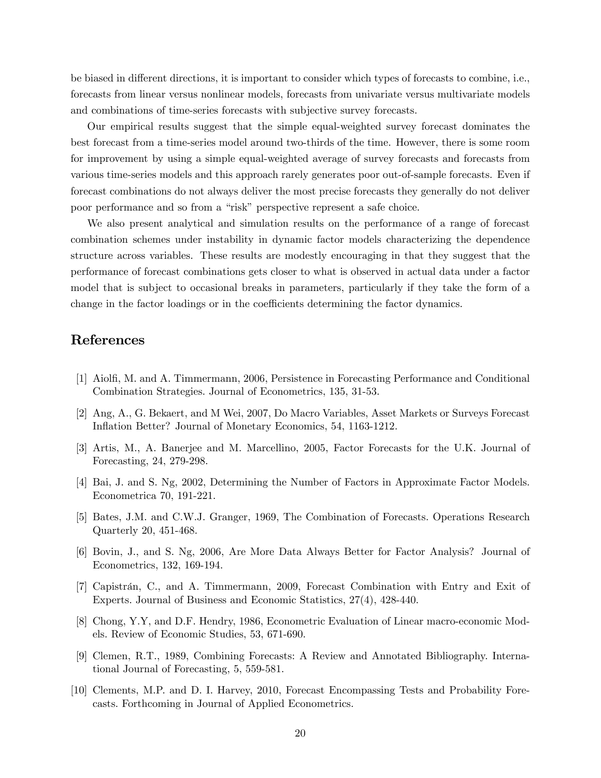be biased in different directions, it is important to consider which types of forecasts to combine, i.e., forecasts from linear versus nonlinear models, forecasts from univariate versus multivariate models and combinations of time-series forecasts with subjective survey forecasts.

Our empirical results suggest that the simple equal-weighted survey forecast dominates the best forecast from a time-series model around two-thirds of the time. However, there is some room for improvement by using a simple equal-weighted average of survey forecasts and forecasts from various time-series models and this approach rarely generates poor out-of-sample forecasts. Even if forecast combinations do not always deliver the most precise forecasts they generally do not deliver poor performance and so from a "risk" perspective represent a safe choice.

We also present analytical and simulation results on the performance of a range of forecast combination schemes under instability in dynamic factor models characterizing the dependence structure across variables. These results are modestly encouraging in that they suggest that the performance of forecast combinations gets closer to what is observed in actual data under a factor model that is subject to occasional breaks in parameters, particularly if they take the form of a change in the factor loadings or in the coefficients determining the factor dynamics.

## References

- [1] Aiolfi, M. and A. Timmermann, 2006, Persistence in Forecasting Performance and Conditional Combination Strategies. Journal of Econometrics, 135, 31-53.
- [2] Ang, A., G. Bekaert, and M Wei, 2007, Do Macro Variables, Asset Markets or Surveys Forecast Inflation Better? Journal of Monetary Economics, 54, 1163-1212.
- [3] Artis, M., A. Banerjee and M. Marcellino, 2005, Factor Forecasts for the U.K. Journal of Forecasting, 24, 279-298.
- [4] Bai, J. and S. Ng, 2002, Determining the Number of Factors in Approximate Factor Models. Econometrica 70, 191-221.
- [5] Bates, J.M. and C.W.J. Granger, 1969, The Combination of Forecasts. Operations Research Quarterly 20, 451-468.
- [6] Bovin, J., and S. Ng, 2006, Are More Data Always Better for Factor Analysis? Journal of Econometrics, 132, 169-194.
- [7] Capistrán, C., and A. Timmermann, 2009, Forecast Combination with Entry and Exit of Experts. Journal of Business and Economic Statistics, 27(4), 428-440.
- [8] Chong, Y.Y, and D.F. Hendry, 1986, Econometric Evaluation of Linear macro-economic Models. Review of Economic Studies, 53, 671-690.
- [9] Clemen, R.T., 1989, Combining Forecasts: A Review and Annotated Bibliography. International Journal of Forecasting, 5, 559-581.
- [10] Clements, M.P. and D. I. Harvey, 2010, Forecast Encompassing Tests and Probability Forecasts. Forthcoming in Journal of Applied Econometrics.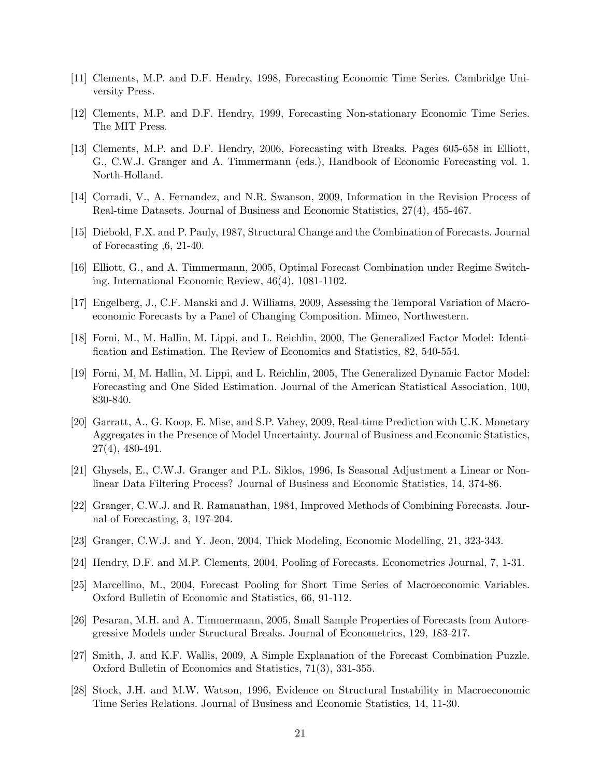- [11] Clements, M.P. and D.F. Hendry, 1998, Forecasting Economic Time Series. Cambridge University Press.
- [12] Clements, M.P. and D.F. Hendry, 1999, Forecasting Non-stationary Economic Time Series. The MIT Press.
- [13] Clements, M.P. and D.F. Hendry, 2006, Forecasting with Breaks. Pages 605-658 in Elliott, G., C.W.J. Granger and A. Timmermann (eds.), Handbook of Economic Forecasting vol. 1. North-Holland.
- [14] Corradi, V., A. Fernandez, and N.R. Swanson, 2009, Information in the Revision Process of Real-time Datasets. Journal of Business and Economic Statistics, 27(4), 455-467.
- [15] Diebold, F.X. and P. Pauly, 1987, Structural Change and the Combination of Forecasts. Journal of Forecasting ,6, 21-40.
- [16] Elliott, G., and A. Timmermann, 2005, Optimal Forecast Combination under Regime Switching. International Economic Review, 46(4), 1081-1102.
- [17] Engelberg, J., C.F. Manski and J. Williams, 2009, Assessing the Temporal Variation of Macroeconomic Forecasts by a Panel of Changing Composition. Mimeo, Northwestern.
- [18] Forni, M., M. Hallin, M. Lippi, and L. Reichlin, 2000, The Generalized Factor Model: Identification and Estimation. The Review of Economics and Statistics, 82, 540-554.
- [19] Forni, M, M. Hallin, M. Lippi, and L. Reichlin, 2005, The Generalized Dynamic Factor Model: Forecasting and One Sided Estimation. Journal of the American Statistical Association, 100, 830-840.
- [20] Garratt, A., G. Koop, E. Mise, and S.P. Vahey, 2009, Real-time Prediction with U.K. Monetary Aggregates in the Presence of Model Uncertainty. Journal of Business and Economic Statistics, 27(4), 480-491.
- [21] Ghysels, E., C.W.J. Granger and P.L. Siklos, 1996, Is Seasonal Adjustment a Linear or Nonlinear Data Filtering Process? Journal of Business and Economic Statistics, 14, 374-86.
- [22] Granger, C.W.J. and R. Ramanathan, 1984, Improved Methods of Combining Forecasts. Journal of Forecasting, 3, 197-204.
- [23] Granger, C.W.J. and Y. Jeon, 2004, Thick Modeling, Economic Modelling, 21, 323-343.
- [24] Hendry, D.F. and M.P. Clements, 2004, Pooling of Forecasts. Econometrics Journal, 7, 1-31.
- [25] Marcellino, M., 2004, Forecast Pooling for Short Time Series of Macroeconomic Variables. Oxford Bulletin of Economic and Statistics, 66, 91-112.
- [26] Pesaran, M.H. and A. Timmermann, 2005, Small Sample Properties of Forecasts from Autoregressive Models under Structural Breaks. Journal of Econometrics, 129, 183-217.
- [27] Smith, J. and K.F. Wallis, 2009, A Simple Explanation of the Forecast Combination Puzzle. Oxford Bulletin of Economics and Statistics, 71(3), 331-355.
- [28] Stock, J.H. and M.W. Watson, 1996, Evidence on Structural Instability in Macroeconomic Time Series Relations. Journal of Business and Economic Statistics, 14, 11-30.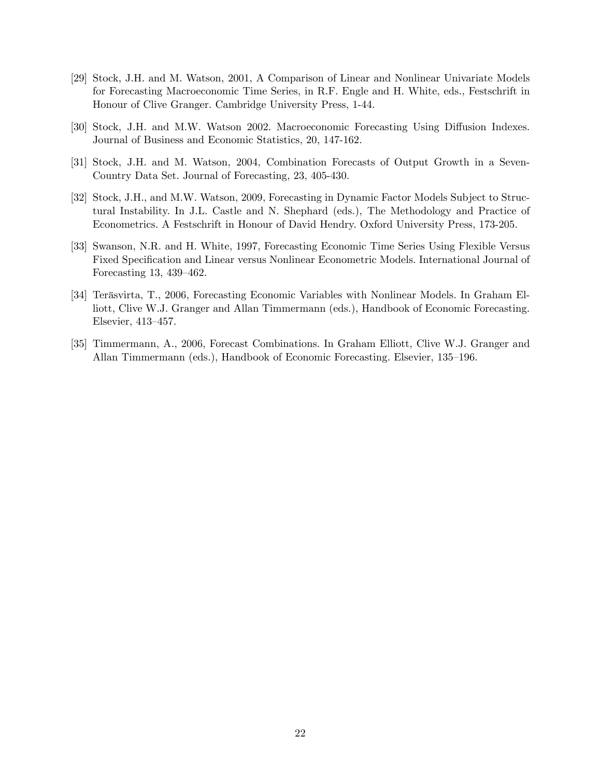- [29] Stock, J.H. and M. Watson, 2001, A Comparison of Linear and Nonlinear Univariate Models for Forecasting Macroeconomic Time Series, in R.F. Engle and H. White, eds., Festschrift in Honour of Clive Granger. Cambridge University Press, 1-44.
- [30] Stock, J.H. and M.W. Watson 2002. Macroeconomic Forecasting Using Diffusion Indexes. Journal of Business and Economic Statistics, 20, 147-162.
- [31] Stock, J.H. and M. Watson, 2004, Combination Forecasts of Output Growth in a Seven-Country Data Set. Journal of Forecasting, 23, 405-430.
- [32] Stock, J.H., and M.W. Watson, 2009, Forecasting in Dynamic Factor Models Subject to Structural Instability. In J.L. Castle and N. Shephard (eds.), The Methodology and Practice of Econometrics. A Festschrift in Honour of David Hendry. Oxford University Press, 173-205.
- [33] Swanson, N.R. and H. White, 1997, Forecasting Economic Time Series Using Flexible Versus Fixed Specification and Linear versus Nonlinear Econometric Models. International Journal of Forecasting 13,  $439-462$ .
- [34] Teräsvirta, T., 2006, Forecasting Economic Variables with Nonlinear Models. In Graham Elliott, Clive W.J. Granger and Allan Timmermann (eds.), Handbook of Economic Forecasting. Elsevier, 413-457.
- [35] Timmermann, A., 2006, Forecast Combinations. In Graham Elliott, Clive W.J. Granger and Allan Timmermann (eds.), Handbook of Economic Forecasting. Elsevier, 135–196.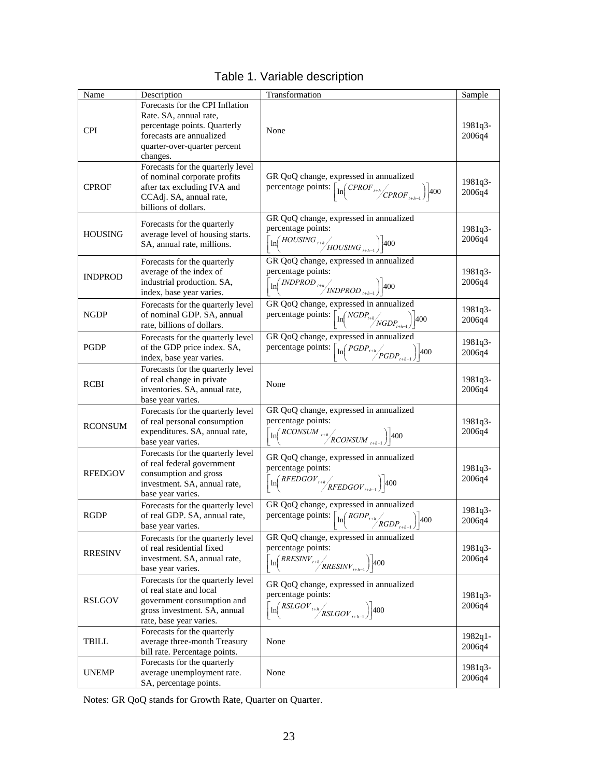| Name           | Description                                                                                                                                                       | Transformation                                                                                                                                                                                   | Sample               |
|----------------|-------------------------------------------------------------------------------------------------------------------------------------------------------------------|--------------------------------------------------------------------------------------------------------------------------------------------------------------------------------------------------|----------------------|
| <b>CPI</b>     | Forecasts for the CPI Inflation<br>Rate. SA, annual rate,<br>percentage points. Quarterly<br>forecasts are annualized<br>quarter-over-quarter percent<br>changes. | None                                                                                                                                                                                             | 1981q3-<br>2006q4    |
| <b>CPROF</b>   | Forecasts for the quarterly level<br>of nominal corporate profits<br>after tax excluding IVA and<br>CCAdj. SA, annual rate,<br>billions of dollars.               | GR QoQ change, expressed in annualized<br>percentage points: $\left[\ln\left(\frac{CPROF_{t+h}}{\sqrt{CPROF_{t+h-1}}}\right)\right]$ 400                                                         | 1981q3-<br>2006q4    |
| <b>HOUSING</b> | Forecasts for the quarterly<br>average level of housing starts.<br>SA, annual rate, millions.                                                                     | GR QoQ change, expressed in annualized<br>percentage points:                                                                                                                                     | 1981q3-<br>2006q4    |
| <b>INDPROD</b> | Forecasts for the quarterly<br>average of the index of<br>industrial production. SA,<br>index, base year varies.                                                  | GR QoQ change, expressed in annualized<br>percentage points:<br>$\left[\ln\left(\frac{INDPROD_{t+h}}{INDPROD_{t+h-1}}\right)\right]$ 400                                                         | 1981q3-<br>2006q4    |
| NGDP           | Forecasts for the quarterly level<br>of nominal GDP. SA, annual<br>rate, billions of dollars.                                                                     | GR QoQ change, expressed in annualized<br>percentage points: $\left[\ln\left(\frac{NGDP_{t+h}}{\sqrt{NGDP_{t+h-1}}}\right)\right]$ 400                                                           | 1981q3-<br>2006q4    |
| PGDP           | Forecasts for the quarterly level<br>of the GDP price index. SA,<br>index, base year varies.                                                                      | GR QoQ change, expressed in annualized<br>percentage points: $\left[\ln\left(\!\! \begin{array}{c} PGDP_{_{t+h}}\!\!\!\!\!/ \ \end{array}\right\rfloor \!\!PGDP_{_{t+h-1}}\right)\right]\!\!400$ | 1981q3-<br>2006q4    |
| <b>RCBI</b>    | Forecasts for the quarterly level<br>of real change in private<br>inventories. SA, annual rate,<br>base year varies.                                              | None                                                                                                                                                                                             | 1981q3-<br>2006q4    |
| <b>RCONSUM</b> | Forecasts for the quarterly level<br>of real personal consumption<br>expenditures. SA, annual rate,<br>base year varies.                                          | GR QoQ change, expressed in annualized<br>percentage points:<br>$\left[\ln\left(\frac{RCONSUM_{t+h}}{RCONSUM_{t+h-1}}\right)\right]$ 400                                                         | 1981q3-<br>2006q4    |
| <b>RFEDGOV</b> | Forecasts for the quarterly level<br>of real federal government<br>consumption and gross<br>investment. SA, annual rate,<br>base year varies.                     | GR QoQ change, expressed in annualized<br>percentage points:<br>$\Bigg[\ln\Bigl(\frac{RFEDGOV_{t+h}}{RFEDGOV_{t+h-1}}\Bigr)\Bigg 400$                                                            | 1981q3-<br>2006q4    |
| RGDP           | Forecasts for the quarterly level<br>of real GDP. SA, annual rate,<br>base year varies.                                                                           | GR QoQ change, expressed in annualized<br>percentage points: $\left[\ln\left(\frac{RGDP_{t+h}}{RGDP_{t+h-1}}\right)\right]$ 400                                                                  | 1981q3-<br>2006q4    |
| <b>RRESINV</b> | Forecasts for the quarterly level<br>of real residential fixed<br>investment. SA, annual rate,<br>base year varies.                                               | GR QoQ change, expressed in annualized<br>percentage points:<br>$\left[\ln\left(\frac{RRESINV_{_{l+h}}}{RRESINV_{_{l+h-1}}}\right)\right]$ 400                                                   | 1981q3-<br>2006q4    |
| <b>RSLGOV</b>  | Forecasts for the quarterly level<br>of real state and local<br>government consumption and<br>gross investment. SA, annual<br>rate, base year varies.             | GR QoQ change, expressed in annualized<br>percentage points:<br>$\bigg[\ln\bigg(\substack{RSLGOV_{t+h}}{\xleftarrow{RSLGOV_{t+h-1}}}\bigg)\bigg]400$                                             | 1981q3-<br>2006q4    |
| TBILL          | Forecasts for the quarterly<br>average three-month Treasury<br>bill rate. Percentage points.                                                                      | None                                                                                                                                                                                             | $1982q1 -$<br>2006q4 |
| <b>UNEMP</b>   | Forecasts for the quarterly<br>average unemployment rate.<br>SA, percentage points.                                                                               | None                                                                                                                                                                                             | 1981q3-<br>2006q4    |

Table 1. Variable description

Notes: GR QoQ stands for Growth Rate, Quarter on Quarter.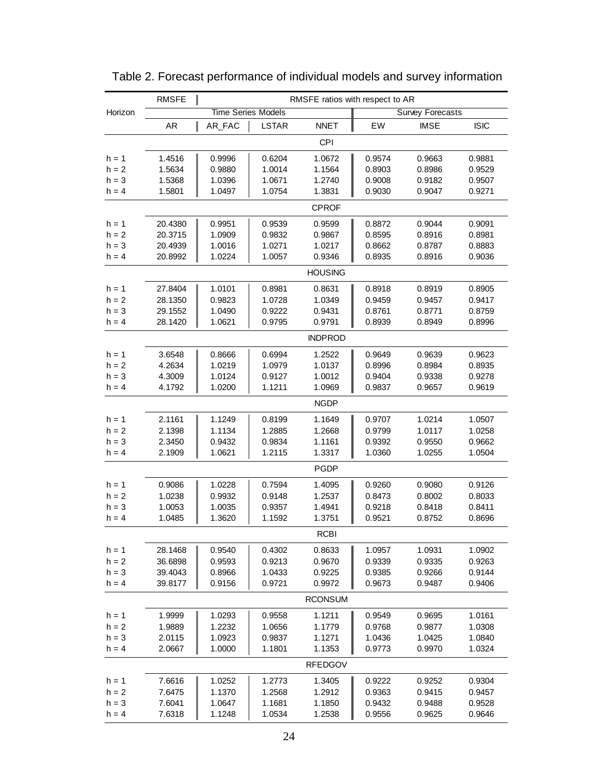|                    | <b>RMSFE</b>       | RMSFE ratios with respect to AR |                           |                  |                  |                         |                  |  |  |  |
|--------------------|--------------------|---------------------------------|---------------------------|------------------|------------------|-------------------------|------------------|--|--|--|
| Horizon            |                    |                                 | <b>Time Series Models</b> |                  |                  | <b>Survey Forecasts</b> |                  |  |  |  |
|                    | AR                 | I<br>AR_FAC                     | <b>LSTAR</b>              | <b>NNET</b>      | EW               | <b>IMSE</b>             | <b>ISIC</b>      |  |  |  |
|                    | <b>CPI</b>         |                                 |                           |                  |                  |                         |                  |  |  |  |
| $h = 1$            | 1.4516             | 0.9996                          | 0.6204                    | 1.0672           | 0.9574           | 0.9663                  | 0.9881           |  |  |  |
| $h = 2$            | 1.5634             | 0.9880                          | 1.0014                    | 1.1564           | 0.8903           | 0.8986                  | 0.9529           |  |  |  |
| $h = 3$            | 1.5368             | 1.0396                          | 1.0671                    | 1.2740           | 0.9008           | 0.9182                  | 0.9507           |  |  |  |
| $h = 4$            | 1.5801             | 1.0497                          | 1.0754                    | 1.3831           | 0.9030           | 0.9047                  | 0.9271           |  |  |  |
|                    | <b>CPROF</b>       |                                 |                           |                  |                  |                         |                  |  |  |  |
| $h = 1$            | 20.4380            | 0.9951                          | 0.9539                    | 0.9599           | 0.8872           | 0.9044                  | 0.9091           |  |  |  |
| $h = 2$            | 20.3715            | 1.0909                          | 0.9832                    | 0.9867           | 0.8595           | 0.8916                  | 0.8981           |  |  |  |
| $h = 3$            | 20.4939            | 1.0016<br>1.0224                | 1.0271                    | 1.0217           | 0.8662           | 0.8787                  | 0.8883           |  |  |  |
| $h = 4$            | 20.8992            |                                 | 1.0057                    | 0.9346           | 0.8935           | 0.8916                  | 0.9036           |  |  |  |
|                    |                    |                                 |                           | <b>HOUSING</b>   |                  |                         |                  |  |  |  |
| $h = 1$            | 27.8404            | 1.0101                          | 0.8981                    | 0.8631           | 0.8918           | 0.8919                  | 0.8905           |  |  |  |
| $h = 2$<br>$h = 3$ | 28.1350<br>29.1552 | 0.9823<br>1.0490                | 1.0728<br>0.9222          | 1.0349<br>0.9431 | 0.9459<br>0.8761 | 0.9457<br>0.8771        | 0.9417           |  |  |  |
| $h = 4$            | 28.1420            | 1.0621                          | 0.9795                    | 0.9791           | 0.8939           | 0.8949                  | 0.8759<br>0.8996 |  |  |  |
|                    |                    |                                 |                           | <b>INDPROD</b>   |                  |                         |                  |  |  |  |
| $h = 1$            | 3.6548             | 0.8666                          | 0.6994                    | 1.2522           | 0.9649           | 0.9639                  | 0.9623           |  |  |  |
| $h = 2$            | 4.2634             | 1.0219                          | 1.0979                    | 1.0137           | 0.8996           | 0.8984                  | 0.8935           |  |  |  |
| $h = 3$            | 4.3009             | 1.0124                          | 0.9127                    | 1.0012           | 0.9404           | 0.9338                  | 0.9278           |  |  |  |
| $h = 4$            | 4.1792             | 1.0200                          | 1.1211                    | 1.0969           | 0.9837           | 0.9657                  | 0.9619           |  |  |  |
|                    |                    |                                 |                           | <b>NGDP</b>      |                  |                         |                  |  |  |  |
| $h = 1$            | 2.1161             | 1.1249                          | 0.8199                    | 1.1649           | 0.9707           | 1.0214                  | 1.0507           |  |  |  |
| $h = 2$            | 2.1398             | 1.1134                          | 1.2885                    | 1.2668           | 0.9799           | 1.0117                  | 1.0258           |  |  |  |
| $h = 3$            | 2.3450             | 0.9432                          | 0.9834                    | 1.1161           | 0.9392           | 0.9550                  | 0.9662           |  |  |  |
| $h = 4$            | 2.1909             | 1.0621                          | 1.2115                    | 1.3317           | 1.0360           | 1.0255                  | 1.0504           |  |  |  |
|                    |                    |                                 |                           | <b>PGDP</b>      |                  |                         |                  |  |  |  |
| $h = 1$            | 0.9086             | 1.0228                          | 0.7594                    | 1.4095           | 0.9260           | 0.9080                  | 0.9126           |  |  |  |
| $h = 2$            | 1.0238             | 0.9932                          | 0.9148                    | 1.2537           | 0.8473           | 0.8002                  | 0.8033           |  |  |  |
| $h = 3$<br>$h = 4$ | 1.0053<br>1.0485   | 1.0035<br>1.3620                | 0.9357<br>1.1592          | 1.4941<br>1.3751 | 0.9218<br>0.9521 | 0.8418<br>0.8752        | 0.8411<br>0.8696 |  |  |  |
|                    |                    |                                 |                           | <b>RCBI</b>      |                  |                         |                  |  |  |  |
|                    |                    |                                 |                           |                  |                  |                         |                  |  |  |  |
| $h = 1$<br>$h = 2$ | 28.1468<br>36.6898 | 0.9540<br>0.9593                | 0.4302<br>0.9213          | 0.8633<br>0.9670 | 1.0957<br>0.9339 | 1.0931                  | 1.0902<br>0.9263 |  |  |  |
| $h = 3$            | 39.4043            | 0.8966                          | 1.0433                    | 0.9225           | 0.9385           | 0.9335<br>0.9266        | 0.9144           |  |  |  |
| $h = 4$            | 39.8177            | 0.9156                          | 0.9721                    | 0.9972           | 0.9673           | 0.9487                  | 0.9406           |  |  |  |
|                    |                    |                                 |                           | <b>RCONSUM</b>   |                  |                         |                  |  |  |  |
| $h = 1$            | 1.9999             | 1.0293                          | 0.9558                    | 1.1211           | 0.9549           | 0.9695                  | 1.0161           |  |  |  |
| $h = 2$            | 1.9889             | 1.2232                          | 1.0656                    | 1.1779           | 0.9768           | 0.9877                  | 1.0308           |  |  |  |
| $h = 3$            | 2.0115             | 1.0923                          | 0.9837                    | 1.1271           | 1.0436           | 1.0425                  | 1.0840           |  |  |  |
| $h = 4$            | 2.0667             | 1.0000                          | 1.1801                    | 1.1353           | 0.9773           | 0.9970                  | 1.0324           |  |  |  |
|                    |                    |                                 |                           | <b>RFEDGOV</b>   |                  |                         |                  |  |  |  |
| $h = 1$            | 7.6616             | 1.0252                          | 1.2773                    | 1.3405           | 0.9222           | 0.9252                  | 0.9304           |  |  |  |
| $h = 2$            | 7.6475             | 1.1370                          | 1.2568                    | 1.2912           | 0.9363           | 0.9415                  | 0.9457           |  |  |  |
| $h = 3$            | 7.6041             | 1.0647                          | 1.1681                    | 1.1850           | 0.9432           | 0.9488                  | 0.9528           |  |  |  |
| $h = 4$            | 7.6318             | 1.1248                          | 1.0534                    | 1.2538           | 0.9556           | 0.9625                  | 0.9646           |  |  |  |

Table 2. Forecast performance of individual models and survey information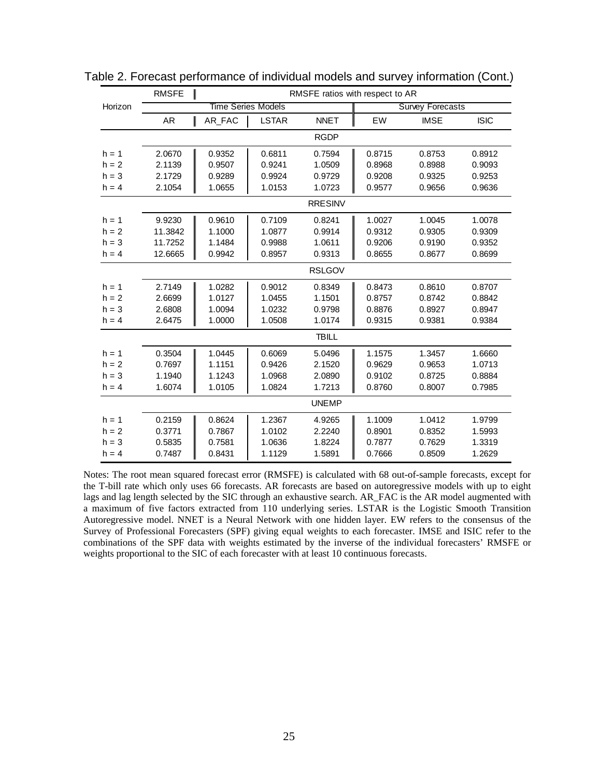|         | <b>RMSFE</b> | I           | RMSFE ratios with respect to AR |                |        |                         |             |  |  |
|---------|--------------|-------------|---------------------------------|----------------|--------|-------------------------|-------------|--|--|
| Horizon |              |             | <b>Time Series Models</b>       |                |        | <b>Survey Forecasts</b> |             |  |  |
|         | AR.          | I<br>AR_FAC | <b>LSTAR</b>                    | <b>NNET</b>    | EW     | <b>IMSE</b>             | <b>ISIC</b> |  |  |
|         |              | <b>RGDP</b> |                                 |                |        |                         |             |  |  |
| $h = 1$ | 2.0670       | 0.9352      | 0.6811                          | 0.7594         | 0.8715 | 0.8753                  | 0.8912      |  |  |
| $h = 2$ | 2.1139       | 0.9507      | 0.9241                          | 1.0509         | 0.8968 | 0.8988                  | 0.9093      |  |  |
| $h = 3$ | 2.1729       | 0.9289      | 0.9924                          | 0.9729         | 0.9208 | 0.9325                  | 0.9253      |  |  |
| $h = 4$ | 2.1054       | 1.0655      | 1.0153                          | 1.0723         | 0.9577 | 0.9656                  | 0.9636      |  |  |
|         |              |             |                                 | <b>RRESINV</b> |        |                         |             |  |  |
| $h = 1$ | 9.9230       | 0.9610      | 0.7109                          | 0.8241         | 1.0027 | 1.0045                  | 1.0078      |  |  |
| $h = 2$ | 11.3842      | 1.1000      | 1.0877                          | 0.9914         | 0.9312 | 0.9305                  | 0.9309      |  |  |
| $h = 3$ | 11.7252      | 1.1484      | 0.9988                          | 1.0611         | 0.9206 | 0.9190                  | 0.9352      |  |  |
| $h = 4$ | 12.6665      | 0.9942      | 0.8957                          | 0.9313         | 0.8655 | 0.8677                  | 0.8699      |  |  |
|         |              |             |                                 | <b>RSLGOV</b>  |        |                         |             |  |  |
| $h = 1$ | 2.7149       | 1.0282      | 0.9012                          | 0.8349         | 0.8473 | 0.8610                  | 0.8707      |  |  |
| $h = 2$ | 2.6699       | 1.0127      | 1.0455                          | 1.1501         | 0.8757 | 0.8742                  | 0.8842      |  |  |
| $h = 3$ | 2.6808       | 1.0094      | 1.0232                          | 0.9798         | 0.8876 | 0.8927                  | 0.8947      |  |  |
| $h = 4$ | 2.6475       | 1.0000      | 1.0508                          | 1.0174         | 0.9315 | 0.9381                  | 0.9384      |  |  |
|         |              |             |                                 | <b>TBILL</b>   |        |                         |             |  |  |
| $h = 1$ | 0.3504       | 1.0445      | 0.6069                          | 5.0496         | 1.1575 | 1.3457                  | 1.6660      |  |  |
| $h = 2$ | 0.7697       | 1.1151      | 0.9426                          | 2.1520         | 0.9629 | 0.9653                  | 1.0713      |  |  |
| $h = 3$ | 1.1940       | 1.1243      | 1.0968                          | 2.0890         | 0.9102 | 0.8725                  | 0.8884      |  |  |
| $h = 4$ | 1.6074       | 1.0105      | 1.0824                          | 1.7213         | 0.8760 | 0.8007                  | 0.7985      |  |  |
|         |              |             |                                 | <b>UNEMP</b>   |        |                         |             |  |  |
| $h = 1$ | 0.2159       | 0.8624      | 1.2367                          | 4.9265         | 1.1009 | 1.0412                  | 1.9799      |  |  |
| $h = 2$ | 0.3771       | 0.7867      | 1.0102                          | 2.2240         | 0.8901 | 0.8352                  | 1.5993      |  |  |
| $h = 3$ | 0.5835       | 0.7581      | 1.0636                          | 1.8224         | 0.7877 | 0.7629                  | 1.3319      |  |  |
| $h = 4$ | 0.7487       | 0.8431      | 1.1129                          | 1.5891         | 0.7666 | 0.8509                  | 1.2629      |  |  |

Table 2. Forecast performance of individual models and survey information (Cont.)

Notes: The root mean squared forecast error (RMSFE) is calculated with 68 out-of-sample forecasts, except for the T-bill rate which only uses 66 forecasts. AR forecasts are based on autoregressive models with up to eight lags and lag length selected by the SIC through an exhaustive search. AR\_FAC is the AR model augmented with a maximum of five factors extracted from 110 underlying series. LSTAR is the Logistic Smooth Transition Autoregressive model. NNET is a Neural Network with one hidden layer. EW refers to the consensus of the Survey of Professional Forecasters (SPF) giving equal weights to each forecaster. IMSE and ISIC refer to the combinations of the SPF data with weights estimated by the inverse of the individual forecasters' RMSFE or weights proportional to the SIC of each forecaster with at least 10 continuous forecasts.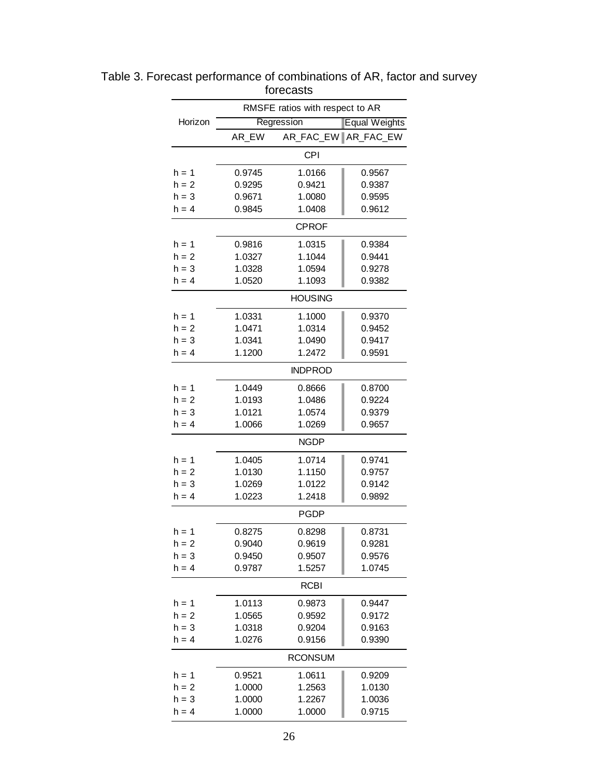|         | RMSFE ratios with respect to AR |                             |                       |  |  |  |  |  |
|---------|---------------------------------|-----------------------------|-----------------------|--|--|--|--|--|
| Horizon |                                 | Equal Weights<br>Regression |                       |  |  |  |  |  |
|         | AR EW                           |                             | AR_FAC_EW   AR_FAC_EW |  |  |  |  |  |
|         | CPI                             |                             |                       |  |  |  |  |  |
| $h = 1$ | 0.9745                          | 1.0166                      | 0.9567                |  |  |  |  |  |
| $h = 2$ | 0.9295                          | 0.9421                      | 0.9387                |  |  |  |  |  |
| $h = 3$ | 0.9671                          | 1.0080                      | 0.9595                |  |  |  |  |  |
| $h = 4$ | 0.9845                          | 1.0408                      | 0.9612                |  |  |  |  |  |
|         |                                 | <b>CPROF</b>                |                       |  |  |  |  |  |
| $h = 1$ | 0.9816                          | 1.0315                      | 0.9384                |  |  |  |  |  |
| $h = 2$ | 1.0327                          | 1.1044                      | 0.9441                |  |  |  |  |  |
| $h = 3$ | 1.0328                          | 1.0594                      | 0.9278                |  |  |  |  |  |
| $h = 4$ | 1.0520                          | 1.1093                      | 0.9382                |  |  |  |  |  |
|         |                                 | <b>HOUSING</b>              |                       |  |  |  |  |  |
| $h = 1$ | 1.0331                          | 1.1000                      | 0.9370                |  |  |  |  |  |
| $h = 2$ | 1.0471                          | 1.0314                      | 0.9452                |  |  |  |  |  |
| $h = 3$ | 1.0341                          | 1.0490                      | 0.9417                |  |  |  |  |  |
| $h = 4$ | 1.1200                          | 1.2472                      | 0.9591                |  |  |  |  |  |
|         |                                 | <b>INDPROD</b>              |                       |  |  |  |  |  |
| $h = 1$ | 1.0449                          | 0.8666                      | 0.8700                |  |  |  |  |  |
| $h = 2$ | 1.0193                          | 1.0486                      | 0.9224                |  |  |  |  |  |
| $h = 3$ | 1.0121                          | 1.0574                      | 0.9379                |  |  |  |  |  |
| $h = 4$ | 1.0066                          | 1.0269                      | 0.9657                |  |  |  |  |  |
|         |                                 | <b>NGDP</b>                 |                       |  |  |  |  |  |
| $h = 1$ | 1.0405                          | 1.0714                      | 0.9741                |  |  |  |  |  |
| $h = 2$ | 1.0130                          | 1.1150                      | 0.9757                |  |  |  |  |  |
| $h = 3$ | 1.0269                          | 1.0122                      | 0.9142                |  |  |  |  |  |
| $h = 4$ | 1.0223                          | 1.2418                      | 0.9892                |  |  |  |  |  |
|         |                                 | <b>PGDP</b>                 |                       |  |  |  |  |  |
| h = 1   | 0.8275                          | 0.8298                      | I<br>0.8731           |  |  |  |  |  |
| $h = 2$ | 0.9040                          | 0.9619                      | 0.9281                |  |  |  |  |  |
| $h = 3$ | 0.9450                          | 0.9507                      | 0.9576                |  |  |  |  |  |
| $h = 4$ | 0.9787                          | 1.5257                      | 1.0745                |  |  |  |  |  |
|         |                                 | <b>RCBI</b>                 |                       |  |  |  |  |  |
| $h = 1$ | 1.0113                          | 0.9873                      | 0.9447                |  |  |  |  |  |
| $h = 2$ | 1.0565                          | 0.9592                      | 0.9172                |  |  |  |  |  |
| $h = 3$ | 1.0318                          | 0.9204                      | 0.9163                |  |  |  |  |  |
| $h = 4$ | 1.0276                          | 0.9156                      | 0.9390                |  |  |  |  |  |
|         |                                 | <b>RCONSUM</b>              |                       |  |  |  |  |  |
| $h = 1$ | 0.9521                          | 1.0611                      | 0.9209                |  |  |  |  |  |
| $h = 2$ | 1.0000                          | 1.2563                      | 1.0130                |  |  |  |  |  |
| $h = 3$ | 1.0000                          | 1.2267                      | 1.0036                |  |  |  |  |  |
| $h = 4$ | 1.0000                          | 1.0000                      | 0.9715                |  |  |  |  |  |

Table 3. Forecast performance of combinations of AR, factor and survey forecasts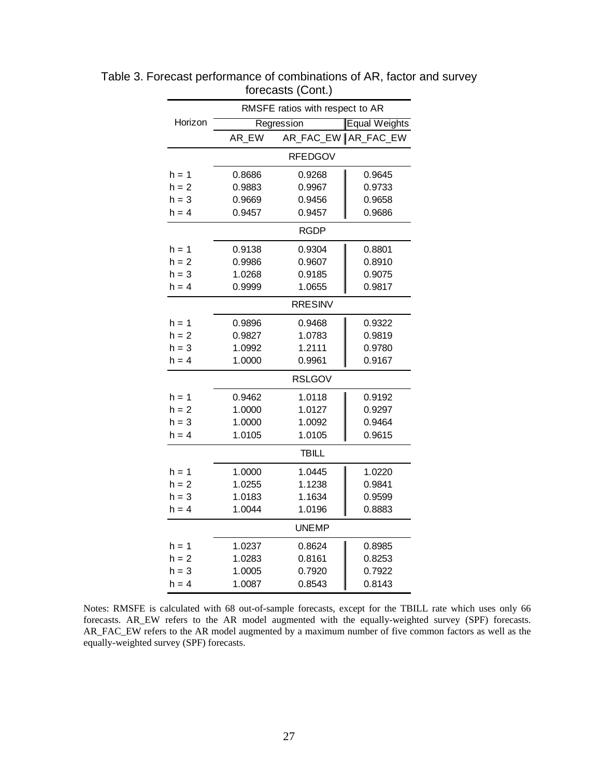|         |        | RMSFE ratios with respect to AR |                      |  |  |  |  |
|---------|--------|---------------------------------|----------------------|--|--|--|--|
| Horizon |        | Regression                      | <b>Equal Weights</b> |  |  |  |  |
|         | AR EW  | AR_FAC_EW AR_FAC_EW             |                      |  |  |  |  |
|         |        | <b>RFEDGOV</b>                  |                      |  |  |  |  |
| $h = 1$ | 0.8686 | 0.9268                          | 0.9645               |  |  |  |  |
| $h = 2$ | 0.9883 | 0.9967                          | 0.9733               |  |  |  |  |
| $h = 3$ | 0.9669 | 0.9456                          | 0.9658               |  |  |  |  |
| $h = 4$ | 0.9457 | 0.9457                          | 0.9686               |  |  |  |  |
|         |        | <b>RGDP</b>                     |                      |  |  |  |  |
| $h = 1$ | 0.9138 | 0.9304                          | 0.8801               |  |  |  |  |
| $h = 2$ | 0.9986 | 0.9607                          | 0.8910               |  |  |  |  |
| $h = 3$ | 1.0268 | 0.9185                          | 0.9075               |  |  |  |  |
| $h = 4$ | 0.9999 | 1.0655                          | 0.9817               |  |  |  |  |
|         |        | <b>RRESINV</b>                  |                      |  |  |  |  |
| $h = 1$ | 0.9896 | 0.9468                          | 0.9322               |  |  |  |  |
| $h = 2$ | 0.9827 | 1.0783                          | 0.9819               |  |  |  |  |
| $h = 3$ | 1.0992 | 1.2111                          | 0.9780               |  |  |  |  |
| $h = 4$ | 1.0000 | 0.9961                          | 0.9167               |  |  |  |  |
|         |        | <b>RSLGOV</b>                   |                      |  |  |  |  |
| $h = 1$ | 0.9462 | 1.0118                          | 0.9192               |  |  |  |  |
| $h = 2$ | 1.0000 | 1.0127                          | 0.9297               |  |  |  |  |
| $h = 3$ | 1.0000 | 1.0092                          | 0.9464               |  |  |  |  |
| $h = 4$ | 1.0105 | 1.0105                          | 0.9615               |  |  |  |  |
|         |        | <b>TBILL</b>                    |                      |  |  |  |  |
| $h = 1$ | 1.0000 | 1.0445                          | 1.0220               |  |  |  |  |
| $h = 2$ | 1.0255 | 1.1238                          | 0.9841               |  |  |  |  |
| $h = 3$ | 1.0183 | 1.1634                          | 0.9599               |  |  |  |  |
| $h = 4$ | 1.0044 | 1.0196                          | 0.8883               |  |  |  |  |
|         |        | <b>UNEMP</b>                    |                      |  |  |  |  |
| $h = 1$ | 1.0237 | 0.8624                          | 0.8985               |  |  |  |  |
| $h = 2$ | 1.0283 | 0.8161                          | 0.8253               |  |  |  |  |
| $h = 3$ | 1.0005 | 0.7920                          | 0.7922               |  |  |  |  |
| $h = 4$ | 1.0087 | 0.8543                          | 0.8143               |  |  |  |  |

Table 3. Forecast performance of combinations of AR, factor and survey forecasts (Cont.)

Notes: RMSFE is calculated with 68 out-of-sample forecasts, except for the TBILL rate which uses only 66 forecasts. AR\_EW refers to the AR model augmented with the equally-weighted survey (SPF) forecasts. AR\_FAC\_EW refers to the AR model augmented by a maximum number of five common factors as well as the equally-weighted survey (SPF) forecasts.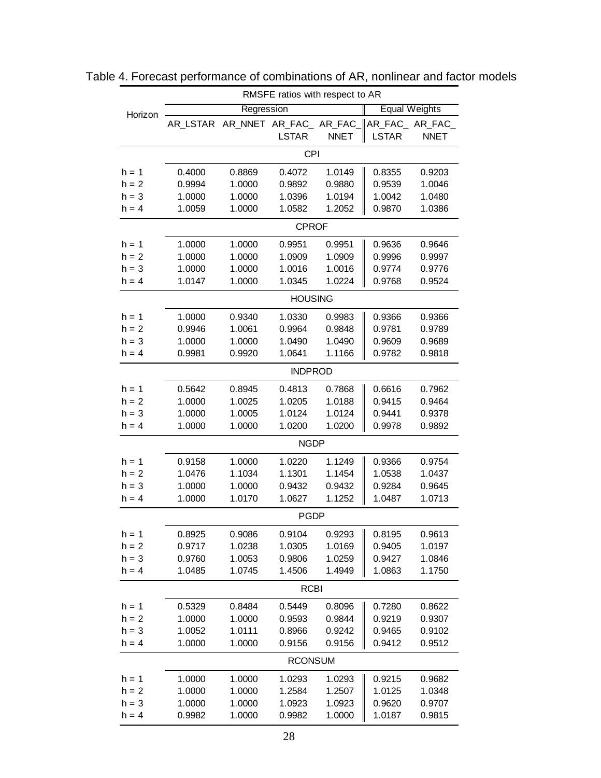|         | RMSFE ratios with respect to AR |                         |                |             |              |                      |  |
|---------|---------------------------------|-------------------------|----------------|-------------|--------------|----------------------|--|
| Horizon |                                 | Regression              |                |             |              | <b>Equal Weights</b> |  |
|         | AR LSTAR                        | AR_NNET AR_FAC_ AR_FAC_ |                |             | AR_FAC_      | AR_FAC_              |  |
|         |                                 |                         | <b>LSTAR</b>   | <b>NNET</b> | <b>LSTAR</b> | <b>NNET</b>          |  |
|         |                                 |                         | CPI            |             |              |                      |  |
| $h = 1$ | 0.4000                          | 0.8869                  | 0.4072         | 1.0149      | 0.8355       | 0.9203               |  |
| $h = 2$ | 0.9994                          | 1.0000                  | 0.9892         | 0.9880      | 0.9539       | 1.0046               |  |
| $h = 3$ | 1.0000                          | 1.0000                  | 1.0396         | 1.0194      | 1.0042       | 1.0480               |  |
| $h = 4$ | 1.0059                          | 1.0000                  | 1.0582         | 1.2052      | 0.9870       | 1.0386               |  |
|         |                                 |                         | <b>CPROF</b>   |             |              |                      |  |
| $h = 1$ | 1.0000                          | 1.0000                  | 0.9951         | 0.9951      | 0.9636       | 0.9646               |  |
| $h = 2$ | 1.0000                          | 1.0000                  | 1.0909         | 1.0909      | 0.9996       | 0.9997               |  |
| $h = 3$ | 1.0000                          | 1.0000                  | 1.0016         | 1.0016      | 0.9774       | 0.9776               |  |
| $h = 4$ | 1.0147                          | 1.0000                  | 1.0345         | 1.0224      | 0.9768       | 0.9524               |  |
|         |                                 |                         | <b>HOUSING</b> |             |              |                      |  |
| $h = 1$ | 1.0000                          | 0.9340                  | 1.0330         | 0.9983      | 0.9366       | 0.9366               |  |
| $h = 2$ | 0.9946                          | 1.0061                  | 0.9964         | 0.9848      | 0.9781       | 0.9789               |  |
| $h = 3$ | 1.0000                          | 1.0000                  | 1.0490         | 1.0490      | 0.9609       | 0.9689               |  |
| $h = 4$ | 0.9981                          | 0.9920                  | 1.0641         | 1.1166      | 0.9782       | 0.9818               |  |
|         |                                 |                         | <b>INDPROD</b> |             |              |                      |  |
| $h = 1$ | 0.5642                          | 0.8945                  | 0.4813         | 0.7868      | 0.6616       | 0.7962               |  |
| $h = 2$ | 1.0000                          | 1.0025                  | 1.0205         | 1.0188      | 0.9415       | 0.9464               |  |
| $h = 3$ | 1.0000                          | 1.0005                  | 1.0124         | 1.0124      | 0.9441       | 0.9378               |  |
| $h = 4$ | 1.0000                          | 1.0000                  | 1.0200         | 1.0200      | 0.9978       | 0.9892               |  |
|         |                                 |                         | <b>NGDP</b>    |             |              |                      |  |
| $h = 1$ | 0.9158                          | 1.0000                  | 1.0220         | 1.1249      | 0.9366       | 0.9754               |  |
| $h = 2$ | 1.0476                          | 1.1034                  | 1.1301         | 1.1454      | 1.0538       | 1.0437               |  |
| $h = 3$ | 1.0000                          | 1.0000                  | 0.9432         | 0.9432      | 0.9284       | 0.9645               |  |
| $h = 4$ | 1.0000                          | 1.0170                  | 1.0627         | 1.1252      | 1.0487       | 1.0713               |  |
|         |                                 |                         | <b>PGDP</b>    |             |              |                      |  |
| $h = 1$ | 0.8925                          | 0.9086                  | 0.9104         | 0.9293      | 0.8195       | 0.9613               |  |
| $h = 2$ | 0.9717                          | 1.0238                  | 1.0305         | 1.0169      | 0.9405       | 1.0197               |  |
| $h = 3$ | 0.9760                          | 1.0053                  | 0.9806         | 1.0259      | 0.9427       | 1.0846               |  |
| $h = 4$ | 1.0485                          | 1.0745                  | 1.4506         | 1.4949      | 1.0863       | 1.1750               |  |
|         |                                 |                         | <b>RCBI</b>    |             |              |                      |  |
| $h = 1$ | 0.5329                          | 0.8484                  | 0.5449         | 0.8096      | 0.7280       | 0.8622               |  |
| $h = 2$ | 1.0000                          | 1.0000                  | 0.9593         | 0.9844      | 0.9219       | 0.9307               |  |
| $h = 3$ | 1.0052                          | 1.0111                  | 0.8966         | 0.9242      | 0.9465       | 0.9102               |  |
| $h = 4$ | 1.0000                          | 1.0000                  | 0.9156         | 0.9156      | 0.9412       | 0.9512               |  |
|         |                                 |                         | <b>RCONSUM</b> |             |              |                      |  |
| $h = 1$ | 1.0000                          | 1.0000                  | 1.0293         | 1.0293      | 0.9215       | 0.9682               |  |
| $h = 2$ | 1.0000                          | 1.0000                  | 1.2584         | 1.2507      | 1.0125       | 1.0348               |  |
| $h = 3$ | 1.0000                          | 1.0000                  | 1.0923         | 1.0923      | 0.9620       | 0.9707               |  |
| $h = 4$ | 0.9982                          | 1.0000                  | 0.9982         | 1.0000      | 1.0187       | 0.9815               |  |

Table 4. Forecast performance of combinations of AR, nonlinear and factor models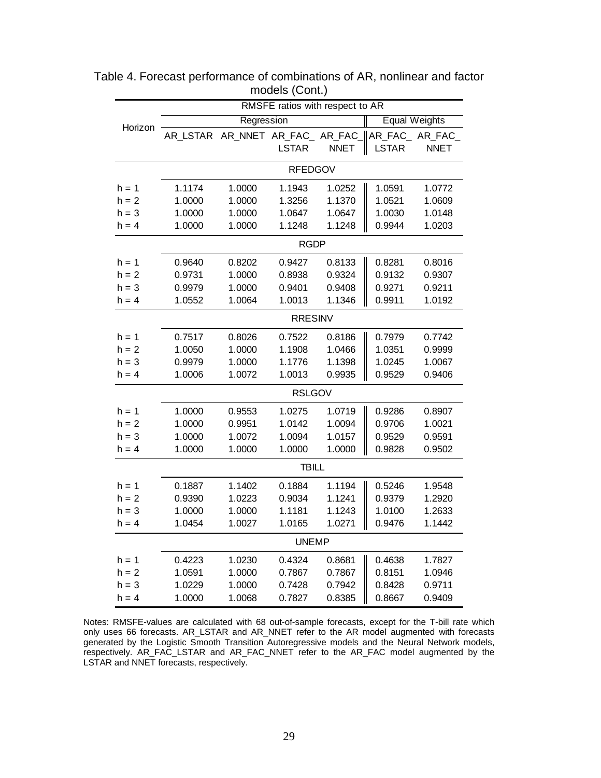| 111000000000011 |                                 |            |                        |             |              |                      |  |  |  |
|-----------------|---------------------------------|------------|------------------------|-------------|--------------|----------------------|--|--|--|
|                 | RMSFE ratios with respect to AR |            |                        |             |              |                      |  |  |  |
| Horizon         |                                 | Regression |                        |             |              | <b>Equal Weights</b> |  |  |  |
|                 | AR_LSTAR                        |            | AR_NNET AR_FAC_ AR_FAC |             |              | AR_FAC_ AR_FAC_      |  |  |  |
|                 |                                 |            | <b>LSTAR</b>           | <b>NNET</b> | <b>LSTAR</b> | <b>NNET</b>          |  |  |  |
|                 | RFEDGOV                         |            |                        |             |              |                      |  |  |  |
| $h = 1$         | 1.1174                          | 1.0000     | 1.1943                 | 1.0252      | 1.0591       | 1.0772               |  |  |  |
| $h = 2$         | 1.0000                          | 1.0000     | 1.3256                 | 1.1370      | 1.0521       | 1.0609               |  |  |  |
| $h = 3$         | 1.0000                          | 1.0000     | 1.0647                 | 1.0647      | 1.0030       | 1.0148               |  |  |  |
| $h = 4$         | 1.0000                          | 1.0000     | 1.1248                 | 1.1248      | 0.9944       | 1.0203               |  |  |  |
|                 |                                 |            | <b>RGDP</b>            |             |              |                      |  |  |  |
| $h = 1$         | 0.9640                          | 0.8202     | 0.9427                 | 0.8133      | 0.8281       | 0.8016               |  |  |  |
| $h = 2$         | 0.9731                          | 1.0000     | 0.8938                 | 0.9324      | 0.9132       | 0.9307               |  |  |  |
| $h = 3$         | 0.9979                          | 1.0000     | 0.9401                 | 0.9408      | 0.9271       | 0.9211               |  |  |  |
| $h = 4$         | 1.0552                          | 1.0064     | 1.0013                 | 1.1346      | 0.9911       | 1.0192               |  |  |  |
|                 |                                 |            | <b>RRESINV</b>         |             |              |                      |  |  |  |
| $h = 1$         | 0.7517                          | 0.8026     | 0.7522                 | 0.8186      | 0.7979       | 0.7742               |  |  |  |
| $h = 2$         | 1.0050                          | 1.0000     | 1.1908                 | 1.0466      | 1.0351       | 0.9999               |  |  |  |
| $h = 3$         | 0.9979                          | 1.0000     | 1.1776                 | 1.1398      | 1.0245       | 1.0067               |  |  |  |
| $h = 4$         | 1.0006                          | 1.0072     | 1.0013                 | 0.9935      | 0.9529       | 0.9406               |  |  |  |
|                 |                                 |            | <b>RSLGOV</b>          |             |              |                      |  |  |  |
| $h = 1$         | 1.0000                          | 0.9553     | 1.0275                 | 1.0719      | 0.9286       | 0.8907               |  |  |  |
| $h = 2$         | 1.0000                          | 0.9951     | 1.0142                 | 1.0094      | 0.9706       | 1.0021               |  |  |  |
| $h = 3$         | 1.0000                          | 1.0072     | 1.0094                 | 1.0157      | 0.9529       | 0.9591               |  |  |  |
| $h = 4$         | 1.0000                          | 1.0000     | 1.0000                 | 1.0000      | 0.9828       | 0.9502               |  |  |  |
|                 |                                 |            | <b>TBILL</b>           |             |              |                      |  |  |  |
| $h = 1$         | 0.1887                          | 1.1402     | 0.1884                 | 1.1194      | 0.5246       | 1.9548               |  |  |  |
| $h = 2$         | 0.9390                          | 1.0223     | 0.9034                 | 1.1241      | 0.9379       | 1.2920               |  |  |  |
| $h = 3$         | 1.0000                          | 1.0000     | 1.1181                 | 1.1243      | 1.0100       | 1.2633               |  |  |  |
| $h = 4$         | 1.0454                          | 1.0027     | 1.0165                 | 1.0271      | 0.9476       | 1.1442               |  |  |  |
|                 |                                 |            | <b>UNEMP</b>           |             |              |                      |  |  |  |
| $h = 1$         | 0.4223                          | 1.0230     | 0.4324                 | 0.8681      | 0.4638       | 1.7827               |  |  |  |
| $h = 2$         | 1.0591                          | 1.0000     | 0.7867                 | 0.7867      | 0.8151       | 1.0946               |  |  |  |
| $h = 3$         | 1.0229                          | 1.0000     | 0.7428                 | 0.7942      | 0.8428       | 0.9711               |  |  |  |
| $h = 4$         | 1.0000                          | 1.0068     | 0.7827                 | 0.8385      | 0.8667       | 0.9409               |  |  |  |

Table 4. Forecast performance of combinations of AR, nonlinear and factor models (Cont.)

Notes: RMSFE-values are calculated with 68 out-of-sample forecasts, except for the T-bill rate which only uses 66 forecasts. AR\_LSTAR and AR\_NNET refer to the AR model augmented with forecasts generated by the Logistic Smooth Transition Autoregressive models and the Neural Network models, respectively. AR\_FAC\_LSTAR and AR\_FAC\_NNET refer to the AR\_FAC model augmented by the LSTAR and NNET forecasts, respectively.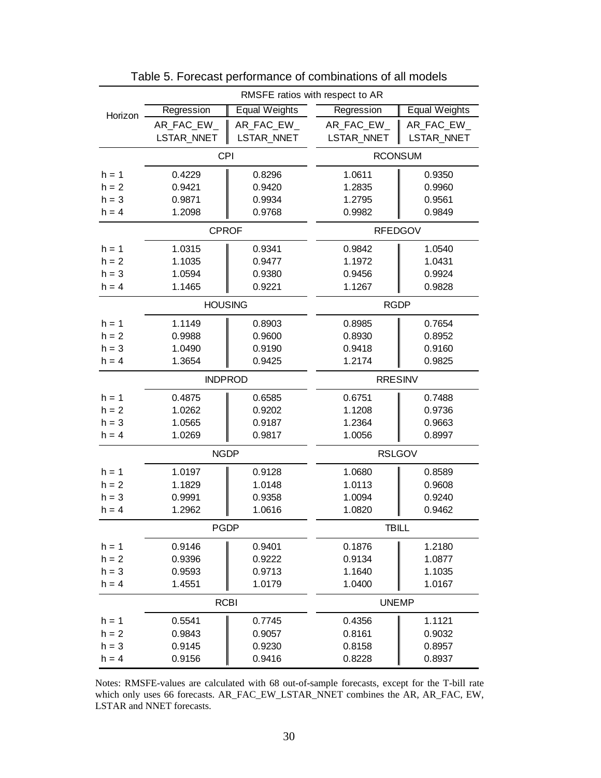|         | RMSFE ratios with respect to AR |                      |                |                      |  |  |  |
|---------|---------------------------------|----------------------|----------------|----------------------|--|--|--|
| Horizon | Regression                      | <b>Equal Weights</b> | Regression     | <b>Equal Weights</b> |  |  |  |
|         | AR_FAC_EW_                      | AR_FAC_EW_           | AR_FAC_EW_     | AR_FAC_EW_           |  |  |  |
|         | LSTAR_NNET                      | LSTAR_NNET           | LSTAR_NNET     | LSTAR_NNET           |  |  |  |
|         | <b>CPI</b>                      |                      | <b>RCONSUM</b> |                      |  |  |  |
|         |                                 |                      |                |                      |  |  |  |
| $h = 1$ | 0.4229                          | 0.8296               | 1.0611         | 0.9350               |  |  |  |
| $h = 2$ | 0.9421                          | 0.9420               | 1.2835         | 0.9960               |  |  |  |
| $h = 3$ | 0.9871                          | 0.9934               | 1.2795         | 0.9561               |  |  |  |
| $h = 4$ | 1.2098                          | 0.9768               | 0.9982         | 0.9849               |  |  |  |
|         | <b>CPROF</b>                    |                      | <b>RFEDGOV</b> |                      |  |  |  |
| $h = 1$ | 1.0315                          | 0.9341               | 0.9842         | 1.0540               |  |  |  |
| $h = 2$ | 1.1035                          | 0.9477               | 1.1972         | 1.0431               |  |  |  |
| $h = 3$ | 1.0594                          | 0.9380               | 0.9456         | 0.9924               |  |  |  |
| $h = 4$ | 1.1465                          | 0.9221               | 1.1267         | 0.9828               |  |  |  |
|         | <b>HOUSING</b>                  |                      | <b>RGDP</b>    |                      |  |  |  |
| $h = 1$ | 1.1149                          | 0.8903               | 0.8985         | 0.7654               |  |  |  |
| $h = 2$ | 0.9988                          | 0.9600               | 0.8930         | 0.8952               |  |  |  |
| $h = 3$ | 1.0490                          | 0.9190               | 0.9418         | 0.9160               |  |  |  |
| $h = 4$ | 1.3654                          | 0.9425               | 1.2174         | 0.9825               |  |  |  |
|         | <b>INDPROD</b>                  |                      | <b>RRESINV</b> |                      |  |  |  |
| $h = 1$ | 0.4875                          | 0.6585               | 0.6751         | 0.7488               |  |  |  |
| $h = 2$ | 1.0262                          | 0.9202               | 1.1208         | 0.9736               |  |  |  |
| $h = 3$ | 1.0565                          | 0.9187               | 1.2364         | 0.9663               |  |  |  |
| $h = 4$ | 1.0269                          | 0.9817               | 1.0056         | 0.8997               |  |  |  |
|         | <b>NGDP</b>                     |                      | <b>RSLGOV</b>  |                      |  |  |  |
| $h = 1$ | 1.0197                          | 0.9128               | 1.0680         | 0.8589               |  |  |  |
| $h = 2$ | 1.1829                          | 1.0148               | 1.0113         | 0.9608               |  |  |  |
| $h = 3$ | 0.9991                          | 0.9358               | 1.0094         | 0.9240               |  |  |  |
| $h = 4$ | 1.2962                          | 1.0616               | 1.0820         | 0.9462               |  |  |  |
|         | PGDP                            |                      | TBIL L         |                      |  |  |  |
| $h = 1$ | 0.9146                          | 0.9401               | 0.1876         | 1.2180               |  |  |  |
| $h = 2$ | 0.9396                          | 0.9222               | 0.9134         | 1.0877               |  |  |  |
| $h = 3$ | 0.9593                          | 0.9713               | 1.1640         | 1.1035               |  |  |  |
| $h = 4$ | 1.4551                          | 1.0179               | 1.0400         | 1.0167               |  |  |  |
|         | <b>RCBI</b>                     |                      | <b>UNEMP</b>   |                      |  |  |  |
| $h = 1$ | 0.5541                          | 0.7745               | 0.4356         | 1.1121               |  |  |  |
| $h = 2$ | 0.9843                          | 0.9057               | 0.8161         | 0.9032               |  |  |  |
| $h = 3$ | 0.9145                          | 0.9230               | 0.8158         | 0.8957               |  |  |  |
| $h = 4$ | 0.9156                          | 0.9416               | 0.8228         | 0.8937               |  |  |  |

Table 5. Forecast performance of combinations of all models

Notes: RMSFE-values are calculated with 68 out-of-sample forecasts, except for the T-bill rate which only uses 66 forecasts. AR\_FAC\_EW\_LSTAR\_NNET combines the AR, AR\_FAC, EW, LSTAR and NNET forecasts.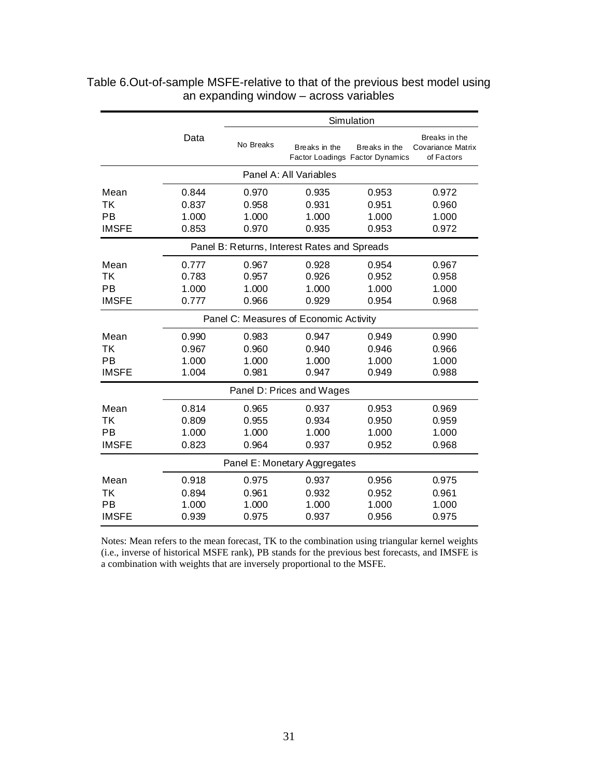|              |       | Simulation |                                              |                                                  |                                                  |  |  |
|--------------|-------|------------|----------------------------------------------|--------------------------------------------------|--------------------------------------------------|--|--|
|              | Data  | No Breaks  | Breaks in the                                | Breaks in the<br>Factor Loadings Factor Dynamics | Breaks in the<br>Covariance Matrix<br>of Factors |  |  |
|              |       |            | Panel A: All Variables                       |                                                  |                                                  |  |  |
| Mean         | 0.844 | 0.970      | 0.935                                        | 0.953                                            | 0.972                                            |  |  |
| TK           | 0.837 | 0.958      | 0.931                                        | 0.951                                            | 0.960                                            |  |  |
| PB           | 1.000 | 1.000      | 1.000                                        | 1.000                                            | 1.000                                            |  |  |
| <b>IMSFE</b> | 0.853 | 0.970      | 0.935                                        | 0.953                                            | 0.972                                            |  |  |
|              |       |            | Panel B: Returns, Interest Rates and Spreads |                                                  |                                                  |  |  |
| Mean         | 0.777 | 0.967      | 0.928                                        | 0.954                                            | 0.967                                            |  |  |
| TK           | 0.783 | 0.957      | 0.926                                        | 0.952                                            | 0.958                                            |  |  |
| PB           | 1.000 | 1.000      | 1.000                                        | 1.000                                            | 1.000                                            |  |  |
| <b>IMSFE</b> | 0.777 | 0.966      | 0.929                                        | 0.954                                            | 0.968                                            |  |  |
|              |       |            | Panel C: Measures of Economic Activity       |                                                  |                                                  |  |  |
| Mean         | 0.990 | 0.983      | 0.947                                        | 0.949                                            | 0.990                                            |  |  |
| TK           | 0.967 | 0.960      | 0.940                                        | 0.946                                            | 0.966                                            |  |  |
| PB           | 1.000 | 1.000      | 1.000                                        | 1.000                                            | 1.000                                            |  |  |
| <b>IMSFE</b> | 1.004 | 0.981      | 0.947                                        | 0.949                                            | 0.988                                            |  |  |
|              |       |            | Panel D: Prices and Wages                    |                                                  |                                                  |  |  |
| Mean         | 0.814 | 0.965      | 0.937                                        | 0.953                                            | 0.969                                            |  |  |
| TK           | 0.809 | 0.955      | 0.934                                        | 0.950                                            | 0.959                                            |  |  |
| PB           | 1.000 | 1.000      | 1.000                                        | 1.000                                            | 1.000                                            |  |  |
| <b>IMSFE</b> | 0.823 | 0.964      | 0.937                                        | 0.952                                            | 0.968                                            |  |  |
|              |       |            | Panel E: Monetary Aggregates                 |                                                  |                                                  |  |  |
| Mean         | 0.918 | 0.975      | 0.937                                        | 0.956                                            | 0.975                                            |  |  |
| TK           | 0.894 | 0.961      | 0.932                                        | 0.952                                            | 0.961                                            |  |  |
| PB           | 1.000 | 1.000      | 1.000                                        | 1.000                                            | 1.000                                            |  |  |
| <b>IMSFE</b> | 0.939 | 0.975      | 0.937                                        | 0.956                                            | 0.975                                            |  |  |

# Table 6.Out-of-sample MSFE-relative to that of the previous best model using an expanding window – across variables

Notes: Mean refers to the mean forecast, TK to the combination using triangular kernel weights (i.e., inverse of historical MSFE rank), PB stands for the previous best forecasts, and IMSFE is a combination with weights that are inversely proportional to the MSFE.